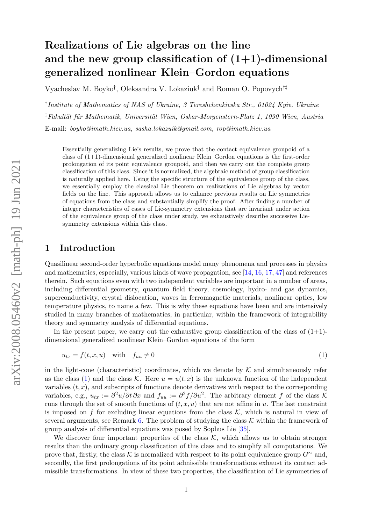# Realizations of Lie algebras on the line and the new group classification of  $(1+1)$ -dimensional generalized nonlinear Klein–Gordon equations

Vyacheslav M. Boyko† , Oleksandra V. Lokaziuk† and Roman O. Popovych†‡

† Institute of Mathematics of NAS of Ukraine, 3 Tereshchenkivska Str., 01024 Kyiv, Ukraine <sup>‡</sup>Fakultät für Mathematik, Universität Wien, Oskar-Morgenstern-Platz 1, 1090 Wien, Austria E-mail: boyko@imath.kiev.ua, sasha.lokazuik@gmail.com, rop@imath.kiev.ua

Essentially generalizing Lie's results, we prove that the contact equivalence groupoid of a class of  $(1+1)$ -dimensional generalized nonlinear Klein–Gordon equations is the first-order prolongation of its point equivalence groupoid, and then we carry out the complete group classification of this class. Since it is normalized, the algebraic method of group classification is naturally applied here. Using the specific structure of the equivalence group of the class, we essentially employ the classical Lie theorem on realizations of Lie algebras by vector fields on the line. This approach allows us to enhance previous results on Lie symmetries of equations from the class and substantially simplify the proof. After finding a number of integer characteristics of cases of Lie-symmetry extensions that are invariant under action of the equivalence group of the class under study, we exhaustively describe successive Liesymmetry extensions within this class.

#### 1 Introduction

Quasilinear second-order hyperbolic equations model many phenomena and processes in physics and mathematics, especially, various kinds of wave propagation, see [\[14,](#page-28-0) [16,](#page-28-1) [17,](#page-28-2) [47\]](#page-29-0) and references therein. Such equations even with two independent variables are important in a number of areas, including differential geometry, quantum field theory, cosmology, hydro- and gas dynamics, superconductivity, crystal dislocation, waves in ferromagnetic materials, nonlinear optics, low temperature physics, to name a few. This is why these equations have been and are intensively studied in many branches of mathematics, in particular, within the framework of integrability theory and symmetry analysis of differential equations.

In the present paper, we carry out the exhaustive group classification of the class of  $(1+1)$ dimensional generalized nonlinear Klein–Gordon equations of the form

<span id="page-0-0"></span>
$$
u_{tx} = f(t, x, u) \quad \text{with} \quad f_{uu} \neq 0 \tag{1}
$$

in the light-cone (characteristic) coordinates, which we denote by  $\mathcal K$  and simultaneously refer as the class [\(1\)](#page-0-0) and the class K. Here  $u = u(t, x)$  is the unknown function of the independent variables  $(t, x)$ , and subscripts of functions denote derivatives with respect to the corresponding variables, e.g.,  $u_{tx} := \partial^2 u / \partial t \partial x$  and  $f_{uu} := \partial^2 f / \partial u^2$ . The arbitrary element f of the class K runs through the set of smooth functions of  $(t, x, u)$  that are not affine in u. The last constraint is imposed on f for excluding linear equations from the class  $\mathcal{K}$ , which is natural in view of several arguments, see Remark [6.](#page-5-0) The problem of studying the class  $K$  within the framework of group analysis of differential equations was posed by Sophus Lie [\[35\]](#page-29-1).

We discover four important properties of the class  $K$ , which allows us to obtain stronger results than the ordinary group classification of this class and to simplify all computations. We prove that, firstly, the class K is normalized with respect to its point equivalence group  $G^{\sim}$  and, secondly, the first prolongations of its point admissible transformations exhaust its contact admissible transformations. In view of these two properties, the classification of Lie symmetries of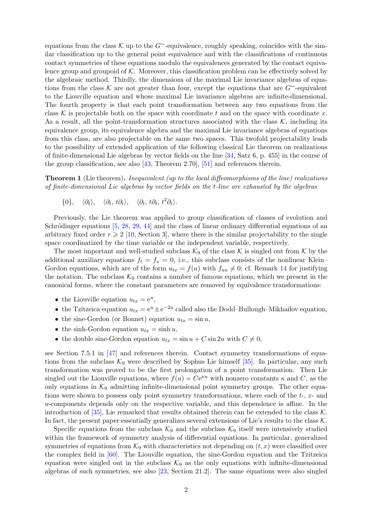equations from the class K up to the G∼-equivalence, roughly speaking, coincides with the similar classification up to the general point equivalence and with the classifications of continuous contact symmetries of these equations modulo the equivalences generated by the contact equivalence group and groupoid of  $K$ . Moreover, this classification problem can be effectively solved by the algebraic method. Thirdly, the dimensions of the maximal Lie invariance algebras of equations from the class K are not greater than four, except the equations that are  $G^{\sim}$ -equivalent to the Liouville equation and whose maximal Lie invariance algebras are infinite-dimensional. The fourth property is that each point transformation between any two equations from the class K is projectable both on the space with coordinate t and on the space with coordinate x. As a result, all the point-transformation structures associated with the class  $K$ , including its equivalence group, its equivalence algebra and the maximal Lie invariance algebras of equations from this class, are also projectable on the same two spaces. This twofold projectability leads to the possibility of extended application of the following classical Lie theorem on realizations of finite-dimensional Lie algebras by vector fields on the line [\[34,](#page-29-2) Satz 6, p. 455] in the course of the group classification, see also [\[43,](#page-29-3) Theorem 2.70], [\[51\]](#page-29-4) and references therein.

**Theorem 1** (Lie theorem). Inequivalent (up to the local diffeomorphisms of the line) realizations of finite-dimensional Lie algebras by vector fields on the t-line are exhausted by the algebras

 $\{0\}, \quad \langle \partial_t \rangle, \quad \langle \partial_t, t\partial_t \rangle, \quad \langle \partial_t, t\partial_t, t^2\partial_t \rangle.$ 

Previously, the Lie theorem was applied to group classification of classes of evolution and Schrödinger equations  $[5, 28, 29, 44]$  $[5, 28, 29, 44]$  $[5, 28, 29, 44]$  $[5, 28, 29, 44]$  $[5, 28, 29, 44]$  $[5, 28, 29, 44]$  and the class of linear ordinary differential equations of an arbitrary fixed order  $r \geq 2$  [\[10,](#page-28-4) Section 3], where there is the similar projectability to the single space coordinatized by the time variable or the independent variable, respectively.

The most important and well-studied subclass  $\mathcal{K}_9$  of the class  $\mathcal K$  is singled out from  $\mathcal K$  by the additional auxiliary equations  $f_t = f_x = 0$ , i.e., this subclass consists of the nonlinear Klein– Gordon equations, which are of the form  $u_{tx} = f(u)$  with  $f_{uu} \neq 0$ ; cf. Remark [14](#page-9-0) for justifying the notation. The subclass  $K_9$  contains a number of famous equations, which we present in the canonical forms, where the constant parameters are removed by equivalence transformations:

- the Liouville equation  $u_{tx} = e^u$ ,
- the Tzitzeica equation  $u_{tx} = e^u \pm e^{-2u}$  called also the Dodd–Bullough–Mikhailov equation,
- the sine-Gordon (or Bonnet) equation  $u_{tx} = \sin u$ ,
- the sinh-Gordon equation  $u_{tx} = \sinh u$ ,
- the double sine-Gordon equation  $u_{tx} = \sin u + C \sin 2u$  with  $C \neq 0$ ,

see Section 7.5.1 in [\[47\]](#page-29-0) and references therein. Contact symmetry transformations of equations from the subclass  $\mathcal{K}_9$  were described by Sophus Lie himself [\[35\]](#page-29-1). In particular, any such transformation was proved to be the first prolongation of a point transformation. Then Lie singled out the Liouville equations, where  $f(u) = Ce^{\kappa u}$  with nonzero constants  $\kappa$  and C, as the only equations in  $\mathcal{K}_9$  admitting infinite-dimensional point symmetry groups. The other equations were shown to possess only point symmetry transformations, where each of the t-, x- and u-components depends only on the respective variable, and this dependence is affine. In the introduction of [\[35\]](#page-29-1), Lie remarked that results obtained therein can be extended to the class  $\mathcal{K}$ . In fact, the present paper essentially generalizes several extensions of Lie's results to the class  $\mathcal K$ .

Specific equations from the subclass  $K_9$  and the subclass  $K_9$  itself were intensively studied within the framework of symmetry analysis of differential equations. In particular, generalized symmetries of equations from  $\mathcal{K}_9$  with characteristics not depending on  $(t, x)$  were classified over the complex field in [\[60\]](#page-30-0). The Liouville equation, the sine-Gordon equation and the Tzitzeica equation were singled out in the subclass  $K_9$  as the only equations with infinite-dimensional algebras of such symmetries, see also [\[23,](#page-28-5) Section 21.2]. The same equations were also singled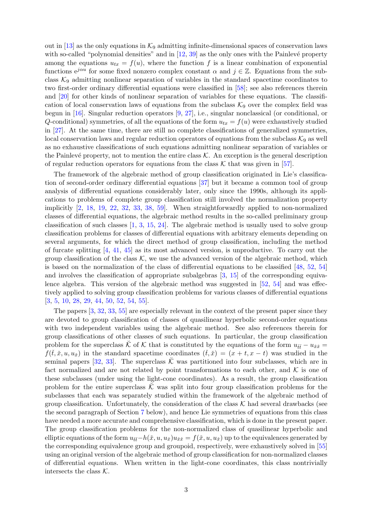out in  $[13]$  as the only equations in  $\mathcal{K}_9$  admitting infinite-dimensional spaces of conservation laws with so-called "polynomial densities" and in  $[12, 39]$  $[12, 39]$  as the only ones with the Painlevé property among the equations  $u_{tx} = f(u)$ , where the function f is a linear combination of exponential functions  $e^{j\alpha u}$  for some fixed nonzero complex constant  $\alpha$  and  $j \in \mathbb{Z}$ . Equations from the subclass  $\mathcal{K}_9$  admitting nonlinear separation of variables in the standard spacetime coordinates to two first-order ordinary differential equations were classified in [\[58\]](#page-30-1); see also references therein and [\[20\]](#page-28-8) for other kinds of nonlinear separation of variables for these equations. The classification of local conservation laws of equations from the subclass  $\mathcal{K}_9$  over the complex field was begun in [\[16\]](#page-28-1). Singular reduction operators [\[9,](#page-28-9) [27\]](#page-29-9), i.e., singular nonclassical (or conditional, or Q-conditional) symmetries, of all the equations of the form  $u_{tx} = f(u)$  were exhaustively studied in [\[27\]](#page-29-9). At the same time, there are still no complete classifications of generalized symmetries, local conservation laws and regular reduction operators of equations from the subclass  $K_9$  as well as no exhaustive classifications of such equations admitting nonlinear separation of variables or the Painlevé property, not to mention the entire class  $K$ . An exception is the general description of regular reduction operators for equations from the class  $K$  that was given in [\[57\]](#page-30-2).

The framework of the algebraic method of group classification originated in Lie's classification of second-order ordinary differential equations [\[37\]](#page-29-10) but it became a common tool of group analysis of differential equations considerably later, only since the 1990s, although its applications to problems of complete group classification still involved the normalization property implicitly [\[2,](#page-28-10) [18,](#page-28-11) [19,](#page-28-12) [22,](#page-28-13) [32,](#page-29-11) [33,](#page-29-12) [38,](#page-29-13) [59\]](#page-30-3). When straightforwardly applied to non-normalized classes of differential equations, the algebraic method results in the so-called preliminary group classification of such classes [\[1,](#page-28-14) [3,](#page-28-15) [15,](#page-28-16) [24\]](#page-28-17). The algebraic method is usually used to solve group classification problems for classes of differential equations with arbitrary elements depending on several arguments, for which the direct method of group classification, including the method of furcate splitting [\[4,](#page-28-18) [41,](#page-29-14) [45\]](#page-29-15) as its most advanced version, is unproductive. To carry out the group classification of the class  $K$ , we use the advanced version of the algebraic method, which is based on the normalization of the class of differential equations to be classified [\[48,](#page-29-16) [52,](#page-30-4) [54\]](#page-30-5) and involves the classification of appropriate subalgebras [\[3,](#page-28-15) [15\]](#page-28-16) of the corresponding equivalence algebra. This version of the algebraic method was suggested in  $[52, 54]$  $[52, 54]$  and was effectively applied to solving group classification problems for various classes of differential equations [\[3,](#page-28-15) [5,](#page-28-3) [10,](#page-28-4) [28,](#page-29-5) [29,](#page-29-6) [44,](#page-29-7) [50,](#page-29-17) [52,](#page-30-4) [54,](#page-30-5) [55\]](#page-30-6).

The papers [\[3,](#page-28-15) [32,](#page-29-11) [33,](#page-29-12) [55\]](#page-30-6) are especially relevant in the context of the present paper since they are devoted to group classification of classes of quasilinear hyperbolic second-order equations with two independent variables using the algebraic method. See also references therein for group classifications of other classes of such equations. In particular, the group classification problem for the superclass  $\check{\mathcal{K}}$  of  $\mathcal{K}$  that is constituted by the equations of the form  $u_{\check{t}\check{t}} - u_{\check{x}\check{x}} =$  $f(\check{t},\check{x},u,u_{\check{x}})$  in the standard spacetime coordinates  $(\check{t},\check{x}) = (x+t,x-t)$  was studied in the seminal papers [\[32,](#page-29-11) [33\]](#page-29-12). The superclass  $\check{K}$  was partitioned into four subclasses, which are in fact normalized and are not related by point transformations to each other, and  $\mathcal K$  is one of these subclasses (under using the light-cone coordinates). As a result, the group classification problem for the entire superclass  $\tilde{\mathcal{K}}$  was split into four group classification problems for the subclasses that each was separately studied within the framework of the algebraic method of group classification. Unfortunately, the consideration of the class  $K$  had several drawbacks (see the second paragraph of Section [7](#page-25-0) below), and hence Lie symmetries of equations from this class have needed a more accurate and comprehensive classification, which is done in the present paper. The group classification problems for the non-normalized class of quasilinear hyperbolic and elliptic equations of the form  $u_{tt}-h(x, u, u_{\tilde{x}})u_{\tilde{x}\tilde{x}}=f(x, u, u_{\tilde{x}})$  up to the equivalences generated by the corresponding equivalence group and groupoid, respectively, were exhaustively solved in [\[55\]](#page-30-6) using an original version of the algebraic method of group classification for non-normalized classes of differential equations. When written in the light-cone coordinates, this class nontrivially intersects the class  $K$ .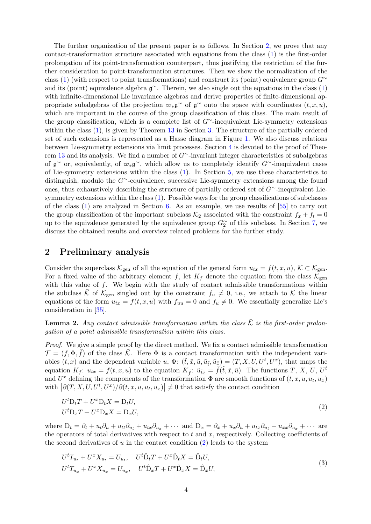The further organization of the present paper is as follows. In Section [2,](#page-3-0) we prove that any contact-transformation structure associated with equations from the class [\(1\)](#page-0-0) is the first-order prolongation of its point-transformation counterpart, thus justifying the restriction of the further consideration to point-transformation structures. Then we show the normalization of the class [\(1\)](#page-0-0) (with respect to point transformations) and construct its (point) equivalence group  $G^{\sim}$ and its (point) equivalence algebra  $\mathfrak{g}^{\sim}$ . Therein, we also single out the equations in the class [\(1\)](#page-0-0) with infinite-dimensional Lie invariance algebras and derive properties of finite-dimensional appropriate subalgebras of the projection  $\varpi_*\mathfrak{g}^\sim$  of  $\mathfrak{g}^\sim$  onto the space with coordinates  $(t, x, u)$ , which are important in the course of the group classification of this class. The main result of the group classification, which is a complete list of G∼-inequivalent Lie-symmetry extensions within the class  $(1)$ , is given by Theorem [13](#page-9-1) in Section [3.](#page-9-2) The structure of the partially ordered set of such extensions is represented as a Hasse diagram in Figure [1.](#page-11-0) We also discuss relations between Lie-symmetry extensions via limit processes. Section [4](#page-12-0) is devoted to the proof of Theorem [13](#page-9-1) and its analysis. We find a number of G∼-invariant integer characteristics of subalgebras of  $\mathfrak{g}^{\sim}$  or, equivalently, of  $\varpi_*\mathfrak{g}^{\sim}$ , which allow us to completely identify G $^{\sim}$ -inequivalent cases of Lie-symmetry extensions within the class  $(1)$ . In Section [5,](#page-18-0) we use these characteristics to distinguish, modulo the G∼-equivalence, successive Lie-symmetry extensions among the found ones, thus exhaustively describing the structure of partially ordered set of G∼-inequivalent Liesymmetry extensions within the class [\(1\)](#page-0-0). Possible ways for the group classifications of subclasses of the class [\(1\)](#page-0-0) are analyzed in Section [6.](#page-22-0) As an example, we use results of [\[55\]](#page-30-6) to carry out the group classification of the important subclass  $\mathcal{K}_2$  associated with the constraint  $f_x + f_t = 0$ up to the equivalence generated by the equivalence group  $G_2^{\sim}$  of this subclass. In Section [7,](#page-25-0) we discuss the obtained results and overview related problems for the further study.

### <span id="page-3-0"></span>2 Preliminary analysis

Consider the superclass  $\mathcal{K}_{gen}$  of all the equation of the general form  $u_{tx} = f(t, x, u)$ ,  $\mathcal{K} \subset \mathcal{K}_{gen}$ . For a fixed value of the arbitrary element f, let  $K_f$  denote the equation from the class  $\mathcal{K}_{gen}$ with this value of  $f$ . We begin with the study of contact admissible transformations within the subclass K of  $\mathcal{K}_{gen}$  singled out by the constraint  $f_u \neq 0$ , i.e., we attach to K the linear equations of the form  $u_{tx} = f(t, x, u)$  with  $f_{uu} = 0$  and  $f_u \neq 0$ . We essentially generalize Lie's consideration in [\[35\]](#page-29-1).

<span id="page-3-3"></span>**Lemma 2.** Any contact admissible transformation within the class  $\overline{K}$  is the first-order prolongation of a point admissible transformation within this class.

Proof. We give a simple proof by the direct method. We fix a contact admissible transformation  $\mathcal{T} = (f, \Phi, \tilde{f})$  of the class  $\bar{\mathcal{K}}$ . Here  $\Phi$  is a contact transformation with the independent variables  $(t, x)$  and the dependent variable u,  $\Phi: (\tilde{t}, \tilde{x}, \tilde{u}, \tilde{u}_{\tilde{t}}, \tilde{u}_{\tilde{x}}) = (T, X, U, U^t, U^x)$ , that maps the equation  $K_f$ :  $u_{tx} = f(t, x, u)$  to the equation  $K_{\tilde{f}}$ :  $\tilde{u}_{\tilde{t}\tilde{x}} = \tilde{f}(\tilde{t}, \tilde{x}, \tilde{u})$ . The functions T, X, U, U<sup>t</sup> and  $U^x$  defining the components of the transformation  $\Phi$  are smooth functions of  $(t, x, u, u_t, u_x)$ with  $\left|\partial(T, X, U, U^t, U^x)/\partial(t, x, u, u_t, u_x)\right| \neq 0$  that satisfy the contact condition

<span id="page-3-1"></span>
$$
U^t D_t T + U^x D_t X = D_t U,
$$
  
\n
$$
U^t D_x T + U^x D_x X = D_x U,
$$
\n(2)

where  $D_t = \partial_t + u_t \partial_u + u_{tt} \partial_{u_t} + u_{tx} \partial_{u_x} + \cdots$  and  $D_x = \partial_x + u_x \partial_u + u_{tx} \partial_{u_t} + u_{xx} \partial_{u_x} + \cdots$  are the operators of total derivatives with respect to  $t$  and  $x$ , respectively. Collecting coefficients of the second derivatives of  $u$  in the contact condition  $(2)$  leads to the system

<span id="page-3-2"></span>
$$
U^{t}T_{u_{t}} + U^{x}X_{u_{t}} = U_{u_{t}}, \quad U^{t}\hat{D}_{t}T + U^{x}\hat{D}_{t}X = \hat{D}_{t}U,
$$
  

$$
U^{t}T_{u_{x}} + U^{x}X_{u_{x}} = U_{u_{x}}, \quad U^{t}\hat{D}_{x}T + U^{x}\hat{D}_{x}X = \hat{D}_{x}U,
$$
\n(3)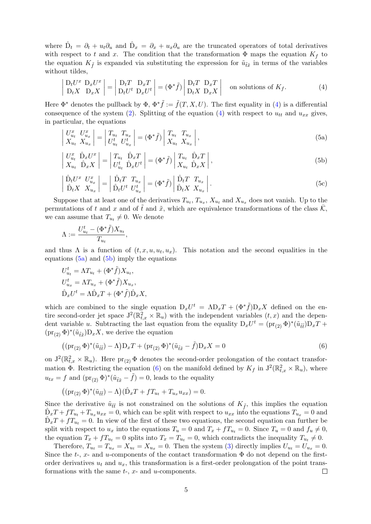where  $\hat{D}_t = \partial_t + u_t \partial_u$  and  $\hat{D}_x = \partial_x + u_x \partial_u$  are the truncated operators of total derivatives with respect to t and x. The condition that the transformation  $\Phi$  maps the equation  $K_f$  to the equation  $K_{\tilde{f}}$  is expanded via substituting the expression for  $\tilde{u}_{\tilde{t}\tilde{x}}$  in terms of the variables without tildes,

<span id="page-4-0"></span>
$$
\begin{vmatrix} D_t U^x & D_x U^x \\ D_t X & D_x X \end{vmatrix} = \begin{vmatrix} D_t T & D_x T \\ D_t U^t & D_x U^t \end{vmatrix} = (\Phi^* \tilde{f}) \begin{vmatrix} D_t T & D_x T \\ D_t X & D_x X \end{vmatrix}
$$
 on solutions of  $K_f$ . (4)

Here  $\Phi^*$  denotes the pullback by  $\Phi$ ,  $\Phi^* \tilde{f} := \tilde{f}(T, X, U)$ . The first equality in [\(4\)](#page-4-0) is a differential consequence of the system [\(2\)](#page-3-1). Splitting of the equation [\(4\)](#page-4-0) with respect to  $u_{tt}$  and  $u_{xx}$  gives, in particular, the equations

<span id="page-4-1"></span>
$$
\begin{vmatrix} U_{u_t}^x & U_{u_x}^x \\ X_{u_t} & X_{u_x} \end{vmatrix} = \begin{vmatrix} T_{u_t} & T_{u_x} \\ U_{u_t}^t & U_{u_x}^t \end{vmatrix} = (\Phi^* \tilde{f}) \begin{vmatrix} T_{u_t} & T_{u_x} \\ X_{u_t} & X_{u_x} \end{vmatrix},
$$
\n(5a)

<span id="page-4-2"></span>
$$
\begin{vmatrix} U_{u_t}^x & \hat{\mathbf{D}}_x U^x \\ X_{u_t} & \hat{\mathbf{D}}_x X \end{vmatrix} = \begin{vmatrix} T_{u_t} & \hat{\mathbf{D}}_x T \\ U_{u_t}^t & \hat{\mathbf{D}}_x U^t \end{vmatrix} = (\Phi^* \tilde{f}) \begin{vmatrix} T_{u_t} & \hat{\mathbf{D}}_x T \\ X_{u_t} & \hat{\mathbf{D}}_x X \end{vmatrix},
$$
\n(5b)

$$
\begin{vmatrix}\n\hat{\mathbf{D}}_t U^x U^x_{u_x} \\
\hat{\mathbf{D}}_t X X_{u_x}\n\end{vmatrix} = \begin{vmatrix}\n\hat{\mathbf{D}}_t T T_{u_x} \\
\hat{\mathbf{D}}_t U^t U^t_{u_x}\n\end{vmatrix} = (\Phi^* \tilde{f}) \begin{vmatrix}\n\hat{\mathbf{D}}_t T T_{u_x} \\
\hat{\mathbf{D}}_t X X_{u_x}\n\end{vmatrix}.
$$
\n(5c)

Suppose that at least one of the derivatives  $T_{u_t}, T_{u_x}, X_{u_t}$  and  $X_{u_x}$  does not vanish. Up to the permutations of t and x and of the and  $\tilde{x}$ , which are equivalence transformations of the class  $\mathcal{K}$ , we can assume that  $T_{u_t} \neq 0$ . We denote

$$
\Lambda := \frac{U_{u_t}^t - (\Phi^* \tilde{f}) X_{u_t}}{T_{u_t}},
$$

and thus  $\Lambda$  is a function of  $(t, x, u, u_t, u_x)$ . This notation and the second equalities in the equations  $(5a)$  and  $(5b)$  imply the equations

$$
U_{u_t}^t = \Lambda T_{u_t} + (\Phi^* \tilde{f}) X_{u_t},
$$
  
\n
$$
U_{u_x}^t = \Lambda T_{u_x} + (\Phi^* \tilde{f}) X_{u_x},
$$
  
\n
$$
\hat{D}_x U^t = \Lambda \hat{D}_x T + (\Phi^* \tilde{f}) \hat{D}_x X,
$$

which are combined to the single equation  $D_x U^t = \Lambda D_x T + (\Phi^* \tilde{f}) D_x X$  defined on the entire second-order jet space  $J^2(\mathbb{R}^2_{t,x} \times \mathbb{R}_u)$  with the independent variables  $(t, x)$  and the dependent variable u. Subtracting the last equation from the equality  $D_xU^t = (pr_{(2)} \Phi)^*(\tilde{u}_{\tilde{t}\tilde{t}})D_xT +$  $(\text{pr}_{(2)} \Phi)^*(\tilde{u}_{\tilde{t}\tilde{x}})D_xX$ , we derive the equation

<span id="page-4-3"></span>
$$
((\operatorname{pr}_{(2)}\Phi)^*(\tilde{u}_{\tilde{t}\tilde{t}}) - \Lambda)D_xT + (\operatorname{pr}_{(2)}\Phi)^*(\tilde{u}_{\tilde{t}\tilde{x}} - \tilde{f})D_xX = 0
$$
\n
$$
(6)
$$

on  $J^2(\mathbb{R}^2_{t,x} \times \mathbb{R}_u)$ . Here  $\text{pr}_{(2)} \Phi$  denotes the second-order prolongation of the contact transformation  $\Phi$ . Restricting the equation [\(6\)](#page-4-3) on the manifold defined by  $K_f$  in  $J^2(\mathbb{R}^2_{t,x} \times \mathbb{R}_u)$ , where  $u_{tx} = f$  and  $(\text{pr}_{(2)} \Phi)^*(\tilde{u}_{\tilde{t}\tilde{x}} - \tilde{f}) = 0$ , leads to the equality

$$
((\mathrm{pr}_{(2)}\,\Phi)^*(\tilde u_{\tilde t\tilde t})-\Lambda)(\hat D_xT+ fT_{u_t}+T_{u_x}u_{xx})=0.
$$

Since the derivative  $\tilde{u}_{\tilde{t}\tilde{t}}$  is not constrained on the solutions of  $K_{\tilde{t}}$ , this implies the equation  $\hat{D}_xT + fT_{u_t} + T_{u_x}u_{xx} = 0$ , which can be split with respect to  $u_{xx}$  into the equations  $T_{u_x} = 0$  and  $\hat{D}_x T + f T_{u_t} = 0$ . In view of the first of these two equations, the second equation can further be split with respect to  $u_x$  into the equations  $T_u = 0$  and  $T_x + f_{u_t} = 0$ . Since  $T_u = 0$  and  $f_u \neq 0$ , the equation  $T_x + fT_{u_t} = 0$  splits into  $T_x = T_{u_t} = 0$ , which contradicts the inequality  $T_{u_t} \neq 0$ .

Therefore,  $T_{u_t} = T_{u_x} = X_{u_t} = X_{u_x} = 0$ . Then the system [\(3\)](#page-3-2) directly implies  $U_{u_t} = U_{u_x} = 0$ . Since the  $t$ -,  $x$ - and  $u$ -components of the contact transformation  $\Phi$  do not depend on the firstorder derivatives  $u_t$  and  $u_x$ , this transformation is a first-order prolongation of the point transformations with the same  $t<sub>z</sub>$ ,  $x<sub>z</sub>$  and  $u<sub>z</sub>$  components.  $\Box$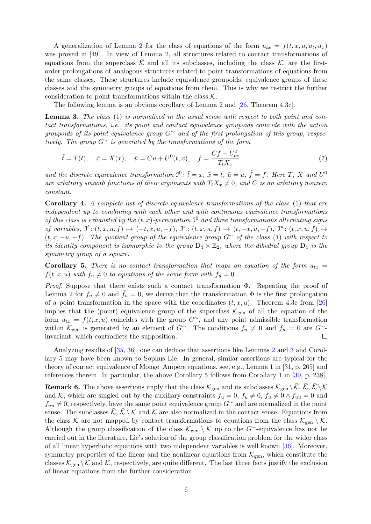A generalization of Lemma [2](#page-3-3) for the class of equations of the form  $u_{tx} = f(t, x, u, u_t, u_x)$ was proved in [\[49\]](#page-29-18). In view of Lemma [2,](#page-3-3) all structures related to contact transformations of equations from the superclass  $\overline{K}$  and all its subclasses, including the class K, are the firstorder prolongations of analogous structures related to point transformations of equations from the same classes. These structures include equivalence groupoids, equivalence groups of these classes and the symmetry groups of equations from them. This is why we restrict the further consideration to point transformations within the class  $K$ .

The following lemma is an obvious corollary of Lemma [2](#page-3-3) and [\[26,](#page-29-19) Theorem 4.3c].

<span id="page-5-1"></span>**Lemma 3.** The class [\(1\)](#page-0-0) is normalized in the usual sense with respect to both point and contact transformations, i.e., its point and contact equivalence groupoids coincide with the action groupoids of its point equivalence group  $G^{\sim}$  and of the first prolongation of this group, respectively. The group  $G^{\sim}$  is generated by the transformations of the form

<span id="page-5-3"></span>
$$
\tilde{t} = T(t), \quad \tilde{x} = X(x), \quad \tilde{u} = Cu + U^{0}(t, x), \quad \tilde{f} = \frac{Cf + U_{tx}^{0}}{T_{t}X_{x}}
$$
\n(7)

and the discrete equivalence transformation  $\mathcal{I}^0$ :  $\tilde{t} = x$ ,  $\tilde{x} = t$ ,  $\tilde{u} = u$ ,  $\tilde{f} = f$ . Here T, X and  $U^0$ are arbitrary smooth functions of their arguments with  $T_tX_x \neq 0$ , and C is an arbitrary nonzero constant.

Corollary 4. A complete list of discrete equivalence transformations of the class [\(1\)](#page-0-0) that are independent up to combining with each other and with continuous equivalence transformations of this class is exhausted by the  $(t, x)$ -permutation  $\mathcal{I}^0$  and three transformations alternating signs of variables,  $\mathcal{I}^t: (t, x, u, f) \mapsto (-t, x, u, -f), \mathcal{I}^x: (t, x, u, f) \mapsto (t, -x, u, -f), \mathcal{I}^u: (t, x, u, f) \mapsto$  $(t, x, -u, -f)$ . The quotient group of the equivalence group  $G^{\sim}$  of the class [\(1\)](#page-0-0) with respect to its identity component is isomorphic to the group  $D_4 \times \mathbb{Z}_2$ , where the dihedral group  $D_4$  is the symmetry group of a square.

<span id="page-5-2"></span>Corollary 5. There is no contact transformation that maps an equation of the form  $u_{tx}$  =  $f(t, x, u)$  with  $f_u \neq 0$  to equations of the same form with  $f_u = 0$ .

Proof. Suppose that there exists such a contact transformation Φ. Repeating the proof of Lemma [2](#page-3-3) for  $f_u \neq 0$  and  $f_u = 0$ , we derive that the transformation  $\Phi$  is the first prolongation of a point transformation in the space with the coordinates  $(t, x, u)$ . Theorem 4.3c from [\[26\]](#page-29-19) implies that the (point) equivalence group of the superclass  $\mathcal{K}_{gen}$  of all the equation of the form  $u_{tx} = f(t, x, u)$  coincides with the group  $G^{\sim}$ , and any point admissible transformation within  $\mathcal{K}_{gen}$  is generated by an element of  $G^{\sim}$ . The conditions  $f_u \neq 0$  and  $f_u = 0$  are  $G^{\sim}$ -<br>invariant, which contradicts the supposition. invariant, which contradicts the supposition.

Analyzing results of [\[35,](#page-29-1) [36\]](#page-29-20), one can deduce that assertions like Lemmas [2](#page-3-3) and [3](#page-5-1) and Corollary [5](#page-5-2) may have been known to Sophus Lie. In general, similar assertions are typical for the theory of contact equivalence of Monge–Ampère equations, see, e.g., Lemma 1 in  $[31, p. 205]$  and references therein. In particular, the above Corollary [5](#page-5-2) follows from Corollary 1 in [\[30,](#page-29-22) p. 238].

<span id="page-5-0"></span>**Remark 6.** The above assertions imply that the class  $\mathcal{K}_{gen}$  and its subclasses  $\mathcal{K}_{gen} \setminus \overline{\mathcal{K}}, \overline{\mathcal{K}} \setminus \mathcal{K}$ and K, which are singled out by the auxiliary constraints  $f_u = 0$ ,  $f_u \neq 0$ ,  $f_u \neq 0 \wedge f_{uu} = 0$  and  $f_{uu} \neq 0$ , respectively, have the same point equivalence group  $G^{\sim}$  and are normalized in the point sense. The subclasses  $\overline{\mathcal{K}}, \overline{\mathcal{K}} \setminus \mathcal{K}$  and  $\mathcal{K}$  are also normalized in the contact sense. Equations from the class K are not mapped by contact transformations to equations from the class  $\mathcal{K}_{gen} \setminus \mathcal{K}$ . Although the group classification of the class  $\mathcal{K}_{gen} \setminus \mathcal{K}$  up to the G∼-equivalence has not be carried out in the literature, Lie's solution of the group classification problem for the wider class of all linear hyperbolic equations with two independent variables is well known [\[36\]](#page-29-20). Moreover, symmetry properties of the linear and the nonlinear equations from  $\mathcal{K}_{gen}$ , which constitute the classes  $\mathcal{K}_{gen} \setminus \mathcal{K}$  and  $\mathcal{K}$ , respectively, are quite different. The last three facts justify the exclusion of linear equations from the further consideration.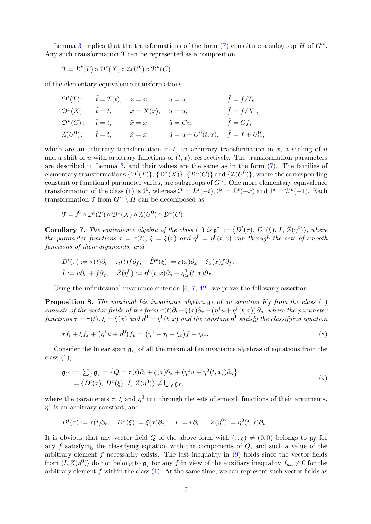Lemma [3](#page-5-1) implies that the transformations of the form [\(7\)](#page-5-3) constitute a subgroup H of  $G^{\sim}$ . Any such transformation  $\mathcal T$  can be represented as a composition

$$
\mathcal{T} = \mathcal{D}^t(T) \circ \mathcal{D}^x(X) \circ \mathcal{Z}(U^0) \circ \mathcal{D}^u(C)
$$

of the elementary equivalence transformations

$$
\mathcal{D}^t(T): \quad \tilde{t} = T(t), \quad \tilde{x} = x, \quad \tilde{u} = u, \quad \tilde{f} = f/T_t,
$$
  
\n
$$
\mathcal{D}^x(X): \quad \tilde{t} = t, \quad \tilde{x} = X(x), \quad \tilde{u} = u, \quad \tilde{f} = f/X_x,
$$
  
\n
$$
\mathcal{D}^u(C): \quad \tilde{t} = t, \quad \tilde{x} = x, \quad \tilde{u} = Cu, \quad \tilde{f} = Cf,
$$
  
\n
$$
\mathcal{Z}(U^0): \quad \tilde{t} = t, \quad \tilde{x} = x, \quad \tilde{u} = u + U^0(t, x), \quad \tilde{f} = f + U^0_{tx},
$$

which are an arbitrary transformation in t, an arbitrary transformation in  $x$ , a scaling of  $u$ and a shift of u with arbitrary functions of  $(t, x)$ , respectively. The transformation parameters are described in Lemma [3,](#page-5-1) and their values are the same as in the form [\(7\)](#page-5-3). The families of elementary transformations  $\{D^{t}(T)\}, \{D^{x}(X)\}, \{D^{u}(C)\}\$  and  $\{\mathcal{Z}(U^{0})\}\$ , where the corresponding constant or functional parameter varies, are subgroups of G∼. One more elementary equivalence transformation of the class [\(1\)](#page-0-0) is  $\mathcal{I}^0$ , whereas  $\mathcal{I}^t = \mathcal{D}^t(-t)$ ,  $\mathcal{I}^x = \mathcal{D}^t(-x)$  and  $\mathcal{I}^u = \mathcal{D}^u(-1)$ . Each transformation  $\mathfrak T$  from  $G^{\sim} \setminus H$  can be decomposed as

$$
\mathcal{T} = \mathcal{I}^0 \circ \mathcal{D}^t(T) \circ \mathcal{D}^x(X) \circ \mathcal{Z}(U^0) \circ \mathcal{D}^u(C).
$$

**Corollary 7.** The equivalence algebra of the class [\(1\)](#page-0-0) is  $\mathfrak{g}^{\sim} := \langle \hat{D}^t(\tau), \hat{D}^x(\xi), \hat{I}, \hat{Z}(\eta^0) \rangle$ , where the parameter functions  $\tau = \tau(t)$ ,  $\xi = \xi(x)$  and  $\eta^0 = \eta^0(t, x)$  run through the sets of smooth functions of their arguments, and

$$
\hat{D}^t(\tau) := \tau(t)\partial_t - \tau_t(t)f\partial_f, \quad \hat{D}^x(\xi) := \xi(x)\partial_x - \xi_x(x)f\partial_f,
$$
  

$$
\hat{I} := u\partial_u + f\partial_f, \quad \hat{Z}(\eta^0) := \eta^0(t, x)\partial_u + \eta^0_{tx}(t, x)\partial_f.
$$

Using the infinitesimal invariance criterion  $[6, 7, 42]$  $[6, 7, 42]$  $[6, 7, 42]$  $[6, 7, 42]$ , we prove the following assertion.

<span id="page-6-2"></span>**Proposition 8.** The maximal Lie invariance algebra  $\mathfrak{g}_f$  of an equation  $K_f$  from the class [\(1\)](#page-0-0) consists of the vector fields of the form  $\tau(t)\partial_t + \xi(x)\partial_x + (\eta^1 u + \eta^0(t,x))\partial_u$ , where the parameter functions  $\tau=\tau(t),$   $\xi=\xi(x)$  and  $\eta^0=\eta^0(t,x)$  and the constant  $\eta^1$  satisfy the classifying equation

<span id="page-6-1"></span>
$$
\tau f_t + \xi f_x + \left(\eta^1 u + \eta^0\right) f_u = \left(\eta^1 - \tau_t - \xi_x\right) f + \eta^0_{tx}.\tag{8}
$$

Consider the linear span  $\mathfrak{g}_{\langle\rangle}$  of all the maximal Lie invariance algebras of equations from the class  $(1)$ ,

<span id="page-6-0"></span>
$$
\mathfrak{g}_{\langle\rangle} := \sum_{f} \mathfrak{g}_{f} = \left\{ Q = \tau(t)\partial_{t} + \xi(x)\partial_{x} + (\eta^{1}u + \eta^{0}(t,x))\partial_{u} \right\} \n= \left\langle D^{t}(\tau), D^{x}(\xi), I, Z(\eta^{0}) \right\rangle \neq \bigcup_{f} \mathfrak{g}_{f},
$$
\n(9)

where the parameters  $\tau$ ,  $\xi$  and  $\eta^0$  run through the sets of smooth functions of their arguments,  $\eta^1$  is an arbitrary constant, and

$$
D^{t}(\tau) := \tau(t)\partial_{t}, \quad D^{x}(\xi) := \xi(x)\partial_{x}, \quad I := u\partial_{u}, \quad Z(\eta^{0}) := \eta^{0}(t, x)\partial_{u}.
$$

It is obvious that any vector field Q of the above form with  $(\tau, \xi) \neq (0, 0)$  belongs to  $\mathfrak{g}_f$  for any  $f$  satisfying the classifying equation with the components of  $Q$ , and such a value of the arbitrary element  $f$  necessarily exists. The last inequality in  $(9)$  holds since the vector fields from  $\langle I, Z(\eta^0) \rangle$  do not belong to  $\mathfrak{g}_f$  for any f in view of the auxiliary inequality  $f_{uu} \neq 0$  for the arbitrary element  $f$  within the class  $(1)$ . At the same time, we can represent such vector fields as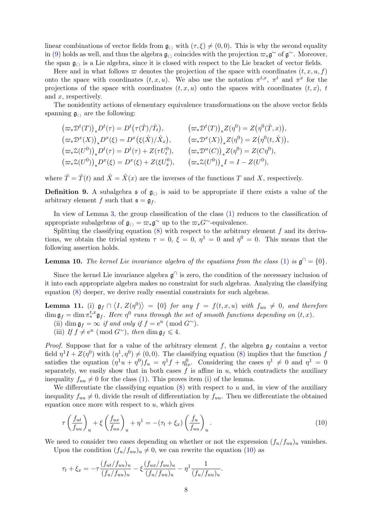linear combinations of vector fields from  $\mathfrak{g}_{\langle\rangle}$  with  $(\tau, \xi) \neq (0, 0)$ . This is why the second equality in [\(9\)](#page-6-0) holds as well, and thus the algebra  $\mathfrak{g}_{()}$  coincides with the projection  $\pi_*\mathfrak{g}^\sim$  of  $\mathfrak{g}^\sim$ . Moreover, the span  $\mathfrak{g}_{\langle\rangle}$  is a Lie algebra, since it is closed with respect to the Lie bracket of vector fields.

Here and in what follows  $\varpi$  denotes the projection of the space with coordinates  $(t, x, u, f)$ onto the space with coordinates  $(t, x, u)$ . We also use the notation  $\pi^{t, x}$ ,  $\pi^t$  and  $\pi^x$  for the projections of the space with coordinates  $(t, x, u)$  onto the spaces with coordinates  $(t, x)$ , t and x, respectively.

The nonidentity actions of elementary equivalence transformations on the above vector fields spanning  $\mathfrak{g}_{\langle \rangle}$  are the following:

$$
(\varpi_* \mathcal{D}^t(T))_* D^t(\tau) = D^t(\tau(\hat{T})/\hat{T}_t), \qquad (\varpi_* \mathcal{D}^t(T))_* Z(\eta^0) = Z(\eta^0(\hat{T}, x)),
$$
  
\n
$$
(\varpi_* \mathcal{D}^x(X))_* D^x(\xi) = D^x(\xi(\hat{X})/\hat{X}_x), \qquad (\varpi_* \mathcal{D}^x(X))_* Z(\eta^0) = Z(\eta^0(t, \hat{X})),
$$
  
\n
$$
(\varpi_* \mathcal{Z}(U^0))_* D^t(\tau) = D^t(\tau) + Z(\tau U_t^0), \qquad (\varpi_* \mathcal{D}^u(C))_* Z(\eta^0) = Z(C\eta^0),
$$
  
\n
$$
(\varpi_* \mathcal{Z}(U^0))_* D^x(\xi) = D^x(\xi) + Z(\xi U_x^0), \qquad (\varpi_* \mathcal{Z}(U^0))_* I = I - Z(U^0),
$$

where  $\hat{T} = \hat{T}(t)$  and  $\hat{X} = \hat{X}(x)$  are the inverses of the functions T and X, respectively.

**Definition 9.** A subalgebra  $\mathfrak{s}$  of  $\mathfrak{g}_{\langle\rangle}$  is said to be appropriate if there exists a value of the arbitrary element f such that  $\mathfrak{s} = \mathfrak{g}_f$ .

In view of Lemma [3,](#page-5-1) the group classification of the class [\(1\)](#page-0-0) reduces to the classification of appropriate subalgebras of  $\mathfrak{g}_{\langle\rangle} = \varpi_* \mathfrak{g}^{\sim}$  up to the  $\varpi_* G^{\sim}$ -equivalence.

Splitting the classifying equation  $(8)$  with respect to the arbitrary element f and its derivations, we obtain the trivial system  $\tau = 0$ ,  $\xi = 0$ ,  $\eta^1 = 0$  and  $\eta^0 = 0$ . This means that the following assertion holds.

**Lemma 10.** The kernel Lie invariance algebra of the equations from the class [\(1\)](#page-0-0) is  $\mathfrak{g}^{\cap} = \{0\}$ .

Since the kernel Lie invariance algebra  $\mathfrak{g}^{\cap}$  is zero, the condition of the necessary inclusion of it into each appropriate algebra makes no constraint for such algebras. Analyzing the classifying equation [\(8\)](#page-6-1) deeper, we derive really essential constraints for such algebras.

<span id="page-7-1"></span>**Lemma 11.** (i)  $\mathfrak{g}_f \cap \langle I, Z(\eta^0) \rangle = \{0\}$  for any  $f = f(t, x, u)$  with  $f_{uu} \neq 0$ , and therefore  $\dim \mathfrak{g}_f = \dim \pi^{t,x}_* \mathfrak{g}_f$ . Here  $\eta^0$  runs through the set of smooth functions depending on  $(t,x)$ .

- (ii) dim  $\mathfrak{g}_f = \infty$  if and only if  $f = e^u \pmod{G^{\sim}}$ .
- (iii) If  $f \neq e^u \pmod{G^{\sim}}$ , then  $\dim \mathfrak{g}_f \leqslant 4$ .

*Proof.* Suppose that for a value of the arbitrary element f, the algebra  $\mathfrak{g}_f$  contains a vector field  $\eta^1 I + Z(\eta^0)$  with  $(\eta^1, \eta^0) \neq (0, 0)$ . The classifying equation [\(8\)](#page-6-1) implies that the function f satisfies the equation  $(\eta^1 u + \eta^0) f_u = \eta^1 f + \eta^0_{tx}$ . Considering the cases  $\eta^1 \neq 0$  and  $\eta^1 = 0$ separately, we easily show that in both cases  $f$  is affine in  $u$ , which contradicts the auxiliary inequality  $f_{uu} \neq 0$  for the class [\(1\)](#page-0-0). This proves item (i) of the lemma.

We differentiate the classifying equation  $(8)$  with respect to u and, in view of the auxiliary inequality  $f_{uu} \neq 0$ , divide the result of differentiation by  $f_{uu}$ . Then we differentiate the obtained equation once more with respect to  $u$ , which gives

<span id="page-7-0"></span>
$$
\tau \left(\frac{f_{ut}}{f_{uu}}\right)_u + \xi \left(\frac{f_{ux}}{f_{uu}}\right)_u + \eta^1 = -(\tau_t + \xi_x) \left(\frac{f_u}{f_{uu}}\right)_u.
$$
\n(10)

We need to consider two cases depending on whether or not the expression  $(f_u/f_{uu})_u$  vanishes.

Upon the condition  $(f_u/f_{uu})_u \neq 0$ , we can rewrite the equation [\(10\)](#page-7-0) as

$$
\tau_t + \xi_x = -\tau \frac{(f_{ut}/f_{uu})_u}{(f_u/f_{uu})_u} - \xi \frac{(f_{ux}/f_{uu})_u}{(f_u/f_{uu})_u} - \eta^1 \frac{1}{(f_u/f_{uu})_u}.
$$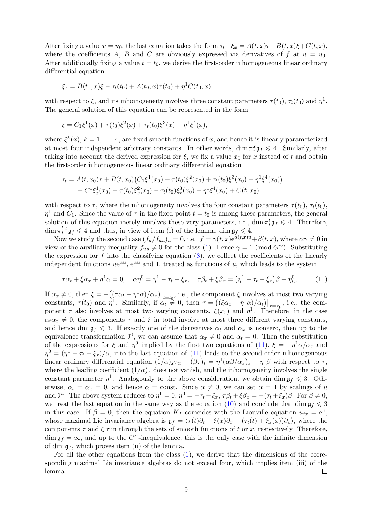After fixing a value  $u = u_0$ , the last equation takes the form  $\tau_t + \xi_x = A(t, x)\tau + B(t, x)\xi + C(t, x)$ , where the coefficients A, B and C are obviously expressed via derivatives of f at  $u = u_0$ . After additionally fixing a value  $t = t_0$ , we derive the first-order inhomogeneous linear ordinary differential equation

$$
\xi_x = B(t_0, x)\xi - \tau_t(t_0) + A(t_0, x)\tau(t_0) + \eta^{1}C(t_0, x)
$$

with respect to  $\xi$ , and its inhomogeneity involves three constant parameters  $\tau(t_0)$ ,  $\tau_t(t_0)$  and  $\eta^1$ . The general solution of this equation can be represented in the form

$$
\xi = C_1 \xi^1(x) + \tau(t_0) \xi^2(x) + \tau_t(t_0) \xi^3(x) + \eta^1 \xi^4(x),
$$

where  $\xi^{k}(x)$ ,  $k = 1, ..., 4$ , are fixed smooth functions of x, and hence it is linearly parameterized at most four independent arbitrary constants. In other words,  $\dim \pi_*^x \mathfrak{g}_f \leq 4$ . Similarly, after taking into account the derived expression for  $\xi$ , we fix a value  $x_0$  for x instead of t and obtain the first-order inhomogeneous linear ordinary differential equation

$$
\tau_t = A(t, x_0)\tau + B(t, x_0)\left(C_1\xi^1(x_0) + \tau(t_0)\xi^2(x_0) + \tau_t(t_0)\xi^3(x_0) + \eta^1\xi^4(x_0)\right) - C^1\xi_x^1(x_0) - \tau(t_0)\xi_x^2(x_0) - \tau_t(t_0)\xi_x^3(x_0) - \eta^1\xi_x^4(x_0) + C(t, x_0)
$$

with respect to  $\tau$ , where the inhomogeneity involves the four constant parameters  $\tau(t_0)$ ,  $\tau_t(t_0)$ ,  $\eta^1$  and  $C_1$ . Since the value of  $\tau$  in the fixed point  $t = t_0$  is among these parameters, the general solution of this equation merely involves these very parameters, i.e., dim  $\pi^t_* \mathfrak{g}_f \leq 4$ . Therefore,  $\dim \pi^{t,x}_* \mathfrak{g}_f \leqslant 4$  and thus, in view of item (i) of the lemma,  $\dim \mathfrak{g}_f \leqslant 4$ .

Now we study the second case  $(f_u/f_{uu})_u = 0$ , i.e.,  $f = \gamma(t, x)e^{\alpha(t, x)u} + \beta(t, x)$ , where  $\alpha \gamma \neq 0$  in view of the auxiliary inequality  $f_{uu} \neq 0$  for the class [\(1\)](#page-0-0). Hence  $\gamma = 1 \pmod{G^{\sim}}$ . Substituting the expression for f into the classifying equation  $(8)$ , we collect the coefficients of the linearly independent functions  $ue^{\alpha u}$ ,  $e^{\alpha u}$  and 1, treated as functions of u, which leads to the system

<span id="page-8-0"></span>
$$
\tau \alpha_t + \xi \alpha_x + \eta^1 \alpha = 0, \quad \alpha \eta^0 = \eta^1 - \tau_t - \xi_x, \quad \tau \beta_t + \xi \beta_x = (\eta^1 - \tau_t - \xi_x)\beta + \eta^0_{tx}.
$$
 (11)

If  $\alpha_x \neq 0$ , then  $\xi = -((\tau \alpha_t + \eta^1 \alpha)/\alpha_x)|_{t=t_0}$ , i.e., the component  $\xi$  involves at most two varying constants,  $\tau(t_0)$  and  $\eta^1$ . Similarly, if  $\alpha_t \neq 0$ , then  $\tau = \left( (\xi \alpha_x + \eta^1 \alpha)/\alpha_t \right) \Big|_{x=x_0}$ , i.e., the component  $\tau$  also involves at most two varying constants,  $\xi(x_0)$  and  $\eta^1$ . Therefore, in the case  $\alpha_t \alpha_x \neq 0$ , the components  $\tau$  and  $\xi$  in total involve at most three different varying constants, and hence dim  $\mathfrak{g}_f \leq 3$ . If exactly one of the derivatives  $\alpha_t$  and  $\alpha_x$  is nonzero, then up to the equivalence transformation  $\mathcal{I}^0$ , we can assume that  $\alpha_x \neq 0$  and  $\alpha_t = 0$ . Then the substitution of the expressions for  $\xi$  and  $\eta^0$  implied by the first two equations of [\(11\)](#page-8-0),  $\xi = -\eta^1 \alpha/\alpha_x$  and  $\eta^0 = (\eta^1 - \tau_t - \xi_x)/\alpha$ , into the last equation of [\(11\)](#page-8-0) leads to the second-order inhomogeneous linear ordinary differential equation  $(1/\alpha)_x \tau_{tt} - (\beta \tau)_t = \eta^1 (\alpha \beta / \alpha_x)_x - \eta^1 \beta$  with respect to  $\tau$ , where the leading coefficient  $(1/\alpha)_x$  does not vanish, and the inhomogeneity involves the single constant parameter  $\eta^1$ . Analogously to the above consideration, we obtain dim  $\mathfrak{g}_f \leq 3$ . Otherwise,  $\alpha_t = \alpha_x = 0$ , and hence  $\alpha = \text{const.}$  Since  $\alpha \neq 0$ , we can set  $\alpha = 1$  by scalings of u and  $\mathcal{I}^u$ . The above system reduces to  $\eta^1 = 0$ ,  $\eta^0 = -\tau_t - \xi_x$ ,  $\tau \beta_t + \xi \beta_x = -(\tau_t + \xi_x)\beta$ . For  $\beta \neq 0$ , we treat the last equation in the same way as the equation [\(10\)](#page-7-0) and conclude that dim  $\mathfrak{g}_f \leq 3$ in this case. If  $\beta = 0$ , then the equation  $K_f$  coincides with the Liouville equation  $u_{tx} = e^u$ , whose maximal Lie invariance algebra is  $\mathfrak{g}_f = \langle \tau(t)\partial_t + \xi(x)\partial_x - (\tau_t(t) + \xi_x(x))\partial_u \rangle$ , where the components  $\tau$  and  $\xi$  run through the sets of smooth functions of t or x, respectively. Therefore,  $\dim \mathfrak{g}_f = \infty$ , and up to the G<sup>∼</sup>-inequivalence, this is the only case with the infinite dimension of dim  $\mathfrak{g}_f$ , which proves item (ii) of the lemma.

For all the other equations from the class [\(1\)](#page-0-0), we derive that the dimensions of the corresponding maximal Lie invariance algebras do not exceed four, which implies item (iii) of the lemma.  $\Box$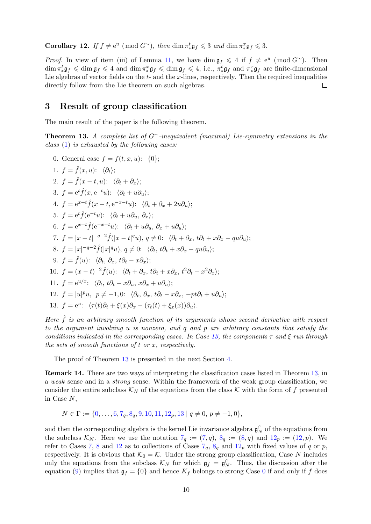<span id="page-9-17"></span>**Corollary 12.** If  $f \neq e^u \pmod{G^{\sim}}$ , then  $\dim \pi_*^t \mathfrak{g}_f \leq 3$  and  $\dim \pi_*^x \mathfrak{g}_f \leq 3$ .

*Proof.* In view of item (iii) of Lemma [11,](#page-7-1) we have dim  $\mathfrak{g}_f \leq 4$  if  $f \neq e^u \pmod{G^{\sim}}$ . Then  $\dim \pi_*^t \mathfrak{g}_f \leqslant \dim \mathfrak{g}_f \leqslant 4$  and  $\dim \pi_*^x \mathfrak{g}_f \leqslant 4$ , i.e.,  $\pi_*^t \mathfrak{g}_f$  and  $\pi_*^x \mathfrak{g}_f$  are finite-dimensional Lie algebras of vector fields on the  $t$ - and the  $x$ -lines, respectively. Then the required inequalities directly follow from the Lie theorem on such algebras.  $\Box$ 

#### <span id="page-9-2"></span>3 Result of group classification

The main result of the paper is the following theorem.

<span id="page-9-1"></span>**Theorem 13.** A complete list of G∼-inequivalent (maximal) Lie-symmetry extensions in the class [\(1\)](#page-0-0) is exhausted by the following cases:

<span id="page-9-16"></span><span id="page-9-15"></span><span id="page-9-14"></span><span id="page-9-13"></span><span id="page-9-12"></span><span id="page-9-6"></span><span id="page-9-5"></span><span id="page-9-4"></span>0. General case  $f = f(t, x, u)$ : {0}; 1.  $f = \hat{f}(x, u)$ :  $\langle \partial_t \rangle$ : 2.  $f = \hat{f}(x - t, u): \langle \partial_t + \partial_x \rangle;$ 3.  $f = e^t \hat{f}(x, e^{-t}u)$ :  $\langle \partial_t + u \partial_u \rangle$ ; 4.  $f = e^{x+t} \hat{f}(x-t, e^{-x-t}u)$ :  $\langle \partial_t + \partial_x + 2u \partial_u \rangle$ ; 5.  $f = e^t \hat{f}(e^{-t}u)$ :  $\langle \partial_t + u \partial_u, \partial_x \rangle$ ; 6.  $f = e^{x+t} \hat{f}(e^{-x-t}u)$ :  $\langle \partial_t + u \partial_u, \partial_x + u \partial_u \rangle$ ; 7.  $f = |x - t|^{-q-2} \hat{f}(|x - t|^q u), q \neq 0$ :  $\langle \partial_t + \partial_x, t \partial_t + x \partial_x - q u \partial_u \rangle$ ; 8.  $f = |x|^{-q-2} \hat{f}(|x|^q u), q \neq 0: \langle \partial_t, t \partial_t + x \partial_x - q u \partial_u \rangle;$ 9.  $f = \hat{f}(u)$ :  $\langle \partial_t, \partial_x, t\partial_t - x\partial_x \rangle$ ; 10.  $f = (x - t)^{-2} \hat{f}(u)$ :  $\langle \partial_t + \partial_x, t \partial_t + x \partial_x, t^2 \partial_t + x^2 \partial_x \rangle$ ; 11.  $f = e^{u/x}$ :  $\langle \partial_t, t\partial_t - x\partial_u, x\partial_x + u\partial_u \rangle;$ 12.  $f = |u|^p u$ ,  $p \neq -1$ , 0:  $\langle \partial_t, \partial_x, t\partial_t - x\partial_x, -pt\partial_t + u\partial_u \rangle;$ 13.  $f = e^u$ :  $\langle \tau(t)\partial_t + \xi(x)\partial_x - (\tau_t(t) + \xi_x(x))\partial_u \rangle$ .

<span id="page-9-11"></span><span id="page-9-10"></span><span id="page-9-9"></span><span id="page-9-8"></span><span id="page-9-7"></span><span id="page-9-3"></span>Here  $\hat{f}$  is an arbitrary smooth function of its arguments whose second derivative with respect to the argument involving u is nonzero, and q and p are arbitrary constants that satisfy the conditions indicated in the corresponding cases. In Case [13,](#page-9-3) the components  $\tau$  and  $\xi$  run through the sets of smooth functions of t or x, respectively.

The proof of Theorem [13](#page-9-1) is presented in the next Section [4.](#page-12-0)

<span id="page-9-0"></span>Remark 14. There are two ways of interpreting the classification cases listed in Theorem [13,](#page-9-1) in a weak sense and in a strong sense. Within the framework of the weak group classification, we consider the entire subclass  $\mathcal{K}_N$  of the equations from the class K with the form of f presented in Case N,

$$
N \in \Gamma := \{0, \ldots, 6, 7_q, 8_q, 9, 10, 11, 12_p, 13 \mid q \neq 0, p \neq -1, 0\},\
$$

and then the corresponding algebra is the kernel Lie invariance algebra  $\mathfrak{g}_N^{\cap}$  of the equations from the subclass  $\mathcal{K}_N$ . Here we use the notation  $7_q := (7, q)$  $7_q := (7, q)$  $7_q := (7, q)$  $7_q := (7, q)$ ,  $8_q := (8, q)$  $8_q := (8, q)$  $8_q := (8, q)$  $8_q := (8, q)$  and  $12_p := (12, p)$  $12_p := (12, p)$  $12_p := (12, p)$  $12_p := (12, p)$ . We refer to Cases [7,](#page-9-6) [8](#page-9-7) and [12](#page-9-11) as to collections of Cases  $7_q$  $7_q$ ,  $8_q$  and  $12_p$  with fixed values of q or p, respectively. It is obvious that  $\mathcal{K}_0 = \mathcal{K}$ . Under the strong group classification, Case N includes only the equations from the subclass  $\mathcal{K}_N$  for which  $\mathfrak{g}_f = \mathfrak{g}_N^{\cap}$ . Thus, the discussion after the equation [\(9\)](#page-6-0) implies that  $\mathfrak{g}_f = \{0\}$  $\mathfrak{g}_f = \{0\}$  $\mathfrak{g}_f = \{0\}$  and hence  $K_f$  belongs to strong Case 0 if and only if f does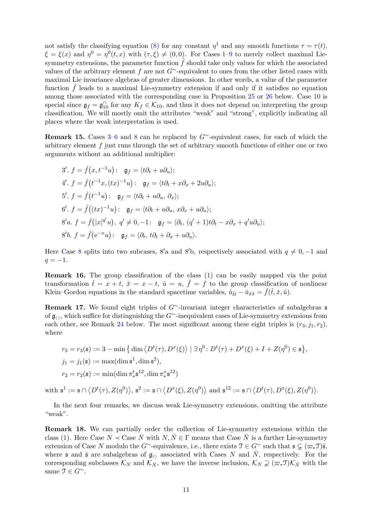not satisfy the classifying equation [\(8\)](#page-6-1) for any constant  $\eta^1$  and any smooth functions  $\tau = \tau(t)$ ,  $\xi = \xi(x)$  and  $\eta^0 = \eta^0(t, x)$  with  $(\tau, \xi) \neq (0, 0)$ . For Cases [1–](#page-9-12)[9](#page-9-8) to merely collect maximal Liesymmetry extensions, the parameter function  $\hat{f}$  should take only values for which the associated values of the arbitrary element f are not  $G^{\sim}$ -equivalent to ones from the other listed cases with maximal Lie invariance algebras of greater dimensions. In other words, a value of the parameter function  $\hat{f}$  leads to a maximal Lie-symmetry extension if and only if it satisfies no equation among those associated with the corresponding case in Proposition [25](#page-20-0) or [26](#page-22-1) below. Case [10](#page-9-9) is special since  $\mathfrak{g}_f = \mathfrak{g}_{10}^{\cap}$  for any  $K_f \in \mathcal{K}_{10}$ , and thus it does not depend on interpreting the group classification. We will mostly omit the attributes "weak" and "strong", explicitly indicating all places where the weak interpretation is used.

**Remark 15.** Cases [3–](#page-9-13)[6](#page-9-5) and [8](#page-9-7) can be replaced by  $G^{\sim}$ -equivalent cases, for each of which the arbitrary element f just runs through the set of arbitrary smooth functions of either one or two arguments without an additional multiplier:

3'. 
$$
f = \hat{f}(x, t^{-1}u)
$$
:  $\mathfrak{g}_f = \langle t\partial_t + u\partial_u \rangle$ ;  
\n4'.  $f = \hat{f}(t^{-1}x, (tx)^{-1}u)$ :  $\mathfrak{g}_f = \langle t\partial_t + x\partial_x + 2u\partial_u \rangle$ ;  
\n5'.  $f = \hat{f}(t^{-1}u)$ :  $\mathfrak{g}_f = \langle t\partial_t + u\partial_u, \partial_x \rangle$ ;  
\n6'.  $f = \hat{f}((tx)^{-1}u)$ :  $\mathfrak{g}_f = \langle t\partial_t + u\partial_u, x\partial_x + u\partial_u \rangle$ ;  
\n8'a.  $f = \hat{f}(|x|^{q'}u)$ ,  $q' \neq 0, -1$ :  $\mathfrak{g}_f = \langle \partial_t, (q' + 1)t\partial_t - x\partial_x + q'u\partial_u \rangle$ ;  
\n8'b.  $f = \hat{f}(e^{-x}u)$ :  $\mathfrak{g}_f = \langle \partial_t, t\partial_t + \partial_x + u\partial_u \rangle$ .

Here Case [8](#page-9-7) splits into two subcases, 8'a and 8'b, respectively associated with  $q \neq 0, -1$  and  $q = -1.$ 

Remark 16. The group classification of the class [\(1\)](#page-0-0) can be easily mapped via the point transformation  $\check{t} = x + t$ ,  $\check{x} = x - t$ ,  $\check{u} = u$ ,  $\check{f} = f$  to the group classification of nonlinear Klein–Gordon equations in the standard spacetime variables,  $\check{u}_{\check{t}\check{t}} - \check{u}_{\check{x}\check{x}} = \check{f}(\check{t}, \check{x}, \check{u})$ .

<span id="page-10-0"></span>Remark 17. We found eight triples of G∼-invariant integer characteristics of subalgebras s of  $\mathfrak{g}_{\langle \rangle}$ , which suffice for distinguishing the G∼-inequivalent cases of Lie-symmetry extensions from each other, see Remark [24](#page-17-0) below. The most significant among these eight triples is  $(r_3, j_1, r_2)$ , where

$$
r_3 = r_3(\mathfrak{s}) := 3 - \min\left\{ \dim \left\langle D^t(\tau), D^x(\xi) \right\rangle \mid \exists \eta^0 \colon D^t(\tau) + D^x(\xi) + I + Z(\eta^0) \in \mathfrak{s} \right\},\
$$
  

$$
j_1 = j_1(\mathfrak{s}) := \max(\dim \mathfrak{s}^1, \dim \mathfrak{s}^2),
$$
  

$$
r_2 = r_2(\mathfrak{s}) := \min(\dim \pi^t_* \mathfrak{s}^{12}, \dim \pi^x_* \mathfrak{s}^{12})
$$

 $\text{with } \mathfrak{s}^1 := \mathfrak{s} \cap \big\langle D^t(\tau), Z(\eta^0) \big\rangle, \, \mathfrak{s}^2 := \mathfrak{s} \cap \big\langle D^x(\xi), Z(\eta^0) \big\rangle \text{ and } \mathfrak{s}^{12} := \mathfrak{s} \cap \big\langle D^t(\tau), D^x(\xi), Z(\eta^0) \big\rangle.$ 

In the next four remarks, we discuss weak Lie-symmetry extensions, omitting the attribute "weak".

<span id="page-10-1"></span>Remark 18. We can partially order the collection of Lie-symmetry extensions within the class [\(1\)](#page-0-0). Here Case  $N \prec$  Case  $\overline{N}$  with  $N, \overline{N} \in \Gamma$  means that Case  $\overline{N}$  is a further Lie-symmetry extension of Case N modulo the G∼-equivalence, i.e., there exists  $\mathcal{T} \in G^{\sim}$  such that  $\mathfrak{s} \subsetneq (\varpi_* \mathcal{T})\overline{\mathfrak{s}},$ where  $\mathfrak s$  and  $\bar{\mathfrak s}$  are subalgebras of  $\mathfrak g_{\langle\rangle}$  associated with Cases N and  $\bar{N}$ , respectively. For the corresponding subclasses  $\mathcal{K}_N$  and  $\mathcal{K}_{\bar{N}}$ , we have the inverse inclusion,  $\mathcal{K}_N \supsetneq (\varpi_* \mathfrak{I}) \mathcal{K}_{\bar{N}}$  with the same  $\mathfrak{T} \in G^{\sim}$ .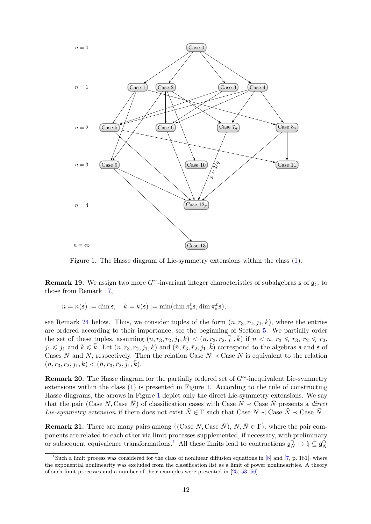<span id="page-11-0"></span>

Figure 1. The Hasse diagram of Lie-symmetry extensions within the class [\(1\)](#page-0-0).

**Remark 19.** We assign two more G∼-invariant integer characteristics of subalgebras s of  $\mathfrak{g}_{\langle\rangle}$  to those from Remark  $17$ , <sup>3</sup> are linearly independent,  $\ldots$ 

 $n = n(\mathfrak{s}) := \dim \mathfrak{s}, \quad k = k(\mathfrak{s}) := \min(\dim \pi^t_* \mathfrak{s}, \dim \pi^x_* \mathfrak{s}),$ also a faithful realization of  $\mathcal{A}$ ∗ a + h<br>∤ a = h  $\sim$ ,  $\frac{1}{2}$ ,  $\frac{1}{2}$  $t_*^t$ \$, dim  $\pi_*^x$  $(\mathbf{F}^x_*\mathfrak{s}),$ 

see Remark [24](#page-17-0) below. Thus, we consider tuples of the form  $(n, r_3, r_2, j_1, k)$ , where the entries  $k$ ernel of a homomorphism of a homomorphism of a letter  $\mathbf{K}$  and  $\mathbf{K}$  is an ideal of  $\mathbf{K}$  and the algebra g to algebra g to algebra  $\mathbf{K}$  and the algebra  $\mathbf{K}$  and the algebra g  $\mathbf{K}$  and the algebra stated according to their importance, see the beginning of section 5. We partially are ordered according to their importance, see the beginning of Section [5.](#page-18-0) We partially order the set of these tuples, assuming  $(n, r_3, r_2, j_1, k) < (n, \bar{r}_3, \bar{r}_2, \bar{j}_1, \bar{k})$  if  $n < n, r_3 \leq \bar{r}_3, r_2 \leq \bar{r}_2$ ,  $j_1 \leq \bar{j}_1$  and  $k \leq \bar{k}$ . Let  $(n, r_3, r_2, j_1, k)$  and  $(\bar{n}, \bar{r}_3, \bar{r}_2, \bar{j}_1, \bar{k})$  correspond to the algebras s and  $\bar{s}$  of Cases N and  $\bar{N}$ , respectively. Then the relation Case  $N \prec$  Case  $\bar{N}$  is equivalent to the relation  $(n, r_3, r_2, j_1, k) < (\bar{n}, \bar{r}_3, \bar{r}_2, \bar{j}_1, \bar{k}).$  $\mathcal{I} = \{ \mathcal{I} \mid \mathcal{I} \neq \emptyset \}$ 

<span id="page-11-2"></span> $\frac{1}{20}$ . The Hasse diagram for the partially ordered set of  $G$  inequivalent the symmetry extensions within the class [\(1\)](#page-0-0) is presented in Figure [1.](#page-11-0) According to the rule of constructing Remark 20. The Hasse diagram for the partially ordered set of G∼-inequivalent Lie-symmetry Hasse diagrams, the arrows in Figure [1](#page-11-0) depict only the direct Lie-symmetry extensions. We say that the pair (Case N, Case  $\bar{N}$ ) of classification cases with Case  $N \prec$  Case  $\bar{N}$  presents a direct Lie-symmetry extension if there does not exist  $\check{N} \in \Gamma$  such that Case  $N \prec$  Case  $\check{N} \prec$  Case  $\bar{N}$ .

**Remark 21.** There are many pairs among  $\{(\text{Case } N, \text{Case } \bar{N}), N, \bar{N} \in \Gamma\}$ , where the pair com-or subsequent equivalence transformations.<sup>[1](#page-11-1)</sup> All these limits lead to contractions  $\mathfrak{g}_N^{\cap} \to \mathfrak{h} \subseteq \mathfrak{g}_{\overline{N}}^{\cap}$ ponents are related to each other via limit processes supplemented, if necessary, with preliminary

<span id="page-11-1"></span><sup>&</sup>lt;sup>1</sup>Such a limit process was considered for the class of nonlinear diffusion equations in  $[8]$  and  $[7, p. 181]$  $[7, p. 181]$ , where the exponential nonlinearity was excluded from the classification list as a limit of power nonlinearities. A theory of such limit processes and a number of their examples were presented in [\[25,](#page-28-22) [53,](#page-30-7) [56\]](#page-30-8).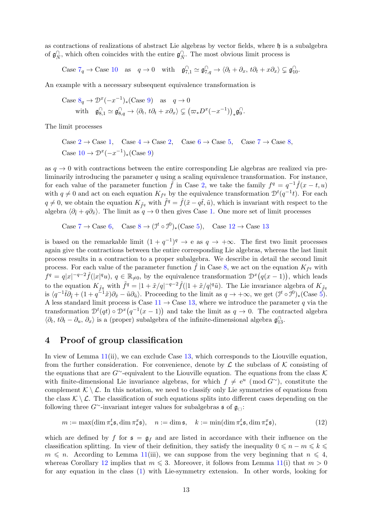as contractions of realizations of abstract Lie algebras by vector fields, where h is a subalgebra of  $\mathfrak{g}_{\bar{N}}^{\cap}$ , which often coincides with the entire  $\mathfrak{g}_{\bar{N}}^{\cap}$ . The most obvious limit process is

Case  $7q \to \text{Case } 10$  $7q \to \text{Case } 10$  $7q \to \text{Case } 10$  as  $q \to 0$  with  $\mathfrak{g}_{7,1}^{1} \simeq \mathfrak{g}_{7,q}^{1} \to \langle \partial_t + \partial_x, t\partial_t + x\partial_x \rangle \subsetneq \mathfrak{g}_{10}^{1}$ .

An example with a necessary subsequent equivalence transformation is

Case 
$$
8_q \to \mathcal{D}^x(-x^{-1})_*
$$
 (Case 9) as  $q \to 0$   
with  $\mathfrak{g}_{8,1}^{\cap} \simeq \mathfrak{g}_{8,q}^{\cap} \to \langle \partial_t, t\partial_t + x\partial_x \rangle \subsetneq (\varpi_* D^x(-x^{-1}))_* \mathfrak{g}_9^{\cap}.$ 

The limit processes

Case  $2 \rightarrow$  $2 \rightarrow$  Case [1](#page-9-12), Case  $4 \rightarrow$  $4 \rightarrow$  Case 2, Case  $6 \rightarrow$  $6 \rightarrow$  Case [5](#page-9-16), Case  $7 \rightarrow$  $7 \rightarrow$  Case [8](#page-9-7), Case  $10 \rightarrow \mathcal{D}^x(-x^{-1})_*(\text{Case } 9)$  $10 \rightarrow \mathcal{D}^x(-x^{-1})_*(\text{Case } 9)$  $10 \rightarrow \mathcal{D}^x(-x^{-1})_*(\text{Case } 9)$ 

as  $q \to 0$  with contractions between the entire corresponding Lie algebras are realized via preliminarily introducing the parameter  $q$  using a scaling equivalence transformation. For instance, for each value of the parameter function  $\hat{f}$  in Case [2,](#page-9-14) we take the family  $f^q = q^{-1}\hat{f}(x - t, u)$ with  $q \neq 0$  and act on each equation  $K_{f^q}$  by the equivalence transformation  $\mathcal{D}^t(q^{-1}t)$ . For each  $q \neq 0$ , we obtain the equation  $K_{\tilde{f}^q}$  with  $\tilde{f}^q = \hat{f}(\tilde{x} - q\tilde{t}, \tilde{u})$ , which is invariant with respect to the algebra  $\langle \partial_{\tilde{t}} + q \partial_{\tilde{x}} \rangle$ . The limit as  $q \to 0$  then gives Case [1.](#page-9-12) One more set of limit processes

Case  $7 \to \text{Case } 6$  $7 \to \text{Case } 6$  $7 \to \text{Case } 6$ , Case  $8 \to (\mathcal{I}^t \circ \mathcal{I}^0)_*(\text{Case } 5)$  $8 \to (\mathcal{I}^t \circ \mathcal{I}^0)_*(\text{Case } 5)$  $8 \to (\mathcal{I}^t \circ \mathcal{I}^0)_*(\text{Case } 5)$ , Case  $12 \to \text{Case } 13$  $12 \to \text{Case } 13$  $12 \to \text{Case } 13$ 

is based on the remarkable limit  $(1 + q^{-1})^q \to e$  as  $q \to +\infty$ . The first two limit processes again give the contractions between the entire corresponding Lie algebras, whereas the last limit process results in a contraction to a proper subalgebra. We describe in detail the second limit process. For each value of the parameter function  $\hat{f}$  in Case [8,](#page-9-7) we act on the equation  $K_{f^q}$  with  $f^q = q|x|^{-q-2}\hat{f}(|x|^q u), q \in \mathbb{R}_{\neq 0}$ , by the equivalence transformation  $\mathcal{D}^x(q(x-1))$ , which leads to the equation  $K_{\tilde{f}q}$  with  $\tilde{f}^q = |1 + \tilde{x}/q|^{-q-2}\hat{f}(|1 + \tilde{x}/q|^q\tilde{u})$ . The Lie invariance algebra of  $K_{\tilde{f}q}$ is  $\langle q^{-1}\tilde{t}\partial_{\tilde{t}} + (1 + q^{-1}\tilde{x})\partial_{\tilde{x}} - \tilde{u}\partial_{\tilde{u}}\rangle$ . Proceeding to the limit as  $q \to +\infty$ , we get  $(\mathcal{I}^t \circ \mathcal{I}^0)_*(\text{Case 5})$ . A less standard limit process is Case  $11 \rightarrow$  $11 \rightarrow$  Case [13,](#page-9-3) where we introduce the parameter q via the transformation  $\mathcal{D}^t(qt) \circ \mathcal{D}^x(q^{-1}(x-1))$  and take the limit as  $q \to 0$ . The contracted algebra  $\langle \partial_t, t \partial_t - \partial_u, \partial_x \rangle$  is a (proper) subalgebra of the infinite-dimensional algebra  $\mathfrak{g}^{\cap}_{13}$ .

## <span id="page-12-0"></span>4 Proof of group classification

In view of Lemma [11\(](#page-7-1)ii), we can exclude Case [13,](#page-9-3) which corresponds to the Liouville equation, from the further consideration. For convenience, denote by  $\mathcal L$  the subclass of K consisting of the equations that are G∼-equivalent to the Liouville equation. The equations from the class  $K$ with finite-dimensional Lie invariance algebras, for which  $f \neq e^u$  (mod  $G^{\sim}$ ), constitute the complement  $\mathcal{K} \setminus \mathcal{L}$ . In this notation, we need to classify only Lie symmetries of equations from the class  $\mathcal{K} \setminus \mathcal{L}$ . The classification of such equations splits into different cases depending on the following three  $G^{\sim}$ -invariant integer values for subalgebras  $\mathfrak{s}$  of  $\mathfrak{g}_{\langle\rangle}$ :

<span id="page-12-1"></span>
$$
m := \max(\dim \pi^t_* \mathfrak{s}, \dim \pi^x_* \mathfrak{s}), \quad n := \dim \mathfrak{s}, \quad k := \min(\dim \pi^t_* \mathfrak{s}, \dim \pi^x_* \mathfrak{s}), \tag{12}
$$

which are defined by f for  $\mathfrak{s} = \mathfrak{g}_f$  and are listed in accordance with their influence on the classification splitting. In view of their definition, they satisfy the inequality  $0 \leq n - m \leq k \leq$  $m \leq n$ . According to Lemma [11\(](#page-7-1)iii), we can suppose from the very beginning that  $n \leq 4$ , whereas Corollary [12](#page-9-17) implies that  $m \le 3$ . Moreover, it follows from Lemma [11\(](#page-7-1)i) that  $m > 0$ for any equation in the class [\(1\)](#page-0-0) with Lie-symmetry extension. In other words, looking for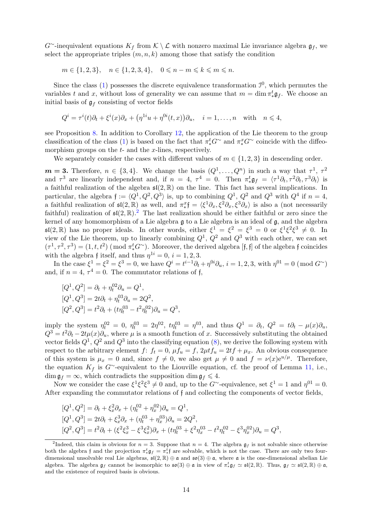G<sup>∼</sup>-inequivalent equations  $K_f$  from  $\mathcal{K} \setminus \mathcal{L}$  with nonzero maximal Lie invariance algebra  $\mathfrak{g}_f$ , we select the appropriate triples  $(m, n, k)$  among those that satisfy the condition

$$
m\in\{1,2,3\},\quad n\in\{1,2,3,4\},\quad 0\leqslant n-m\leqslant k\leqslant m\leqslant n.
$$

Since the class  $(1)$  possesses the discrete equivalence transformation  $\mathcal{I}^0$ , which permutes the variables t and x, without loss of generality we can assume that  $m = \dim \pi_*^t \mathfrak{g}_f$ . We choose an initial basis of  $\mathfrak{g}_f$  consisting of vector fields

$$
Q^{i} = \tau^{i}(t)\partial_{t} + \xi^{i}(x)\partial_{x} + (\eta^{1i}u + \eta^{0i}(t,x))\partial_{u}, \quad i = 1,\ldots,n \quad \text{with} \quad n \leq 4,
$$

see Proposition [8.](#page-6-2) In addition to Corollary [12,](#page-9-17) the application of the Lie theorem to the group classification of the class [\(1\)](#page-0-0) is based on the fact that  $\pi^t_* G^{\sim}$  and  $\pi^x_* G^{\sim}$  coincide with the diffeomorphism groups on the  $t$ - and the  $x$ -lines, respectively.

We separately consider the cases with different values of  $m \in \{1, 2, 3\}$  in descending order.

 $m = 3$ . Therefore,  $n \in \{3, 4\}$ . We change the basis  $(Q^1, \ldots, Q^n)$  in such a way that  $\tau^1$ ,  $\tau^2$ and  $\tau^3$  are linearly independent and, if  $n = 4$ ,  $\tau^4 = 0$ . Then  $\pi_*^t \mathfrak{g}_f = \langle \tau^1 \partial_t, \tau^2 \partial_t, \tau^3 \partial_t \rangle$  is a faithful realization of the algebra  $\mathfrak{sl}(2,\mathbb{R})$  on the line. This fact has several implications. In particular, the algebra  $\mathfrak{f} := \langle Q^1, Q^2, Q^3 \rangle$  is, up to combining  $Q^1, Q^2$  and  $Q^3$  with  $Q^4$  if  $n = 4$ , a faithful realization of  $\mathfrak{sl}(2,\mathbb{R})$  as well, and  $\pi_*^x\mathfrak{f} = \langle \xi^1 \partial_x, \xi^2 \partial_x, \xi^3 \partial_x \rangle$  is also a (not necessarily faithful) realization of  $\mathfrak{sl}(2,\mathbb{R})$  $\mathfrak{sl}(2,\mathbb{R})$  $\mathfrak{sl}(2,\mathbb{R})$ .<sup>2</sup> The last realization should be either faithful or zero since the kernel of any homomorphism of a Lie algebra g to a Lie algebra is an ideal of g, and the algebra  $\mathfrak{sl}(2,\mathbb{R})$  has no proper ideals. In other words, either  $\xi^1 = \xi^2 = \xi^3 = 0$  or  $\xi^1 \xi^2 \xi^3 \neq 0$ . In view of the Lie theorem, up to linearly combining  $Q^1$ ,  $Q^2$  and  $Q^3$  with each other, we can set  $(\tau^1, \tau^2, \tau^3) = (1, t, t^2) \pmod{\pi_*^t G^\sim}$ . Moreover, the derived algebra [f, f] of the algebra f coincides with the algebra f itself, and thus  $\eta^{1i} = 0$ ,  $i = 1, 2, 3$ .

In the case  $\xi^1 = \xi^2 = \xi^3 = 0$ , we have  $Q^i = t^{i-1}\partial_t + \eta^{0i}\partial_u$ ,  $i = 1, 2, 3$ , with  $\eta^{01} = 0 \pmod{G}$ and, if  $n = 4$ ,  $\tau^4 = 0$ . The commutator relations of f,

$$
[Q1, Q2] = \partial_t + \eta_t^{02} \partial_u = Q1,
$$
  
\n
$$
[Q1, Q3] = 2t\partial_t + \eta_t^{03} \partial_u = 2Q2,
$$
  
\n
$$
[Q2, Q3] = t2 \partial_t + (t\eta_t^{03} - t2 \eta_t^{02}) \partial_u = Q3,
$$

imply the system  $\eta_t^{02} = 0$ ,  $\eta_t^{03} = 2\eta^{02}$ ,  $t\eta_t^{03} = \eta^{03}$ , and thus  $Q^1 = \partial_t$ ,  $Q^2 = t\partial_t - \mu(x)\partial_u$ ,  $Q^3 = t^2 \partial_t - 2t\mu(x)\partial_u$ , where  $\mu$  is a smooth function of x. Successively substituting the obtained vector fields  $Q^1$ ,  $Q^2$  and  $Q^3$  into the classifying equation [\(8\)](#page-6-1), we derive the following system with respect to the arbitrary element f:  $f_t = 0$ ,  $\mu f_u = f$ ,  $2\mu t f_u = 2tf + \mu_x$ . An obvious consequence of this system is  $\mu_x = 0$  and, since  $f \neq 0$ , we also get  $\mu \neq 0$  and  $f = \nu(x)e^{u/\mu}$ . Therefore, the equation  $K_f$  is G∼-equivalent to the Liouville equation, cf. the proof of Lemma [11,](#page-7-1) i.e.,  $\dim \mathfrak{g}_f = \infty$ , which contradicts the supposition  $\dim \mathfrak{g}_f \leq 4$ .

Now we consider the case  $\xi^1 \xi^2 \xi^3 \neq 0$  and, up to the G<sup>∼</sup>-equivalence, set  $\xi^1 = 1$  and  $\eta^{01} = 0$ . After expanding the commutator relations of f and collecting the components of vector fields,

$$
[Q1, Q2] = \partial_t + \xi_x^2 \partial_x + (\eta_t^{02} + \eta_x^{02}) \partial_u = Q1,
$$
  
\n
$$
[Q1, Q3] = 2t\partial_t + \xi_x^3 \partial_x + (\eta_t^{03} + \eta_x^{03}) \partial_u = 2Q2,
$$
  
\n
$$
[Q2, Q3] = t2 \partial_t + (\xi2 \xi_x3 - \xi3 \xi_x2) \partial_x + (t\eta_t^{03} + \xi2 \eta_x^{03} - t2 \eta_t^{02} - \xi3 \eta_x^{02}) \partial_u = Q3,
$$

<span id="page-13-0"></span><sup>&</sup>lt;sup>2</sup>Indeed, this claim is obvious for  $n = 3$ . Suppose that  $n = 4$ . The algebra  $\mathfrak{g}_f$  is not solvable since otherwise both the algebra f and the projection  $\pi^t_* \mathfrak{g}_f = \pi^t_*$  are solvable, which is not the case. There are only two fourdimensional unsolvable real Lie algebras,  $\mathfrak{sl}(2,\mathbb{R})\oplus\mathfrak{a}$  and  $\mathfrak{so}(3)\oplus\mathfrak{a}$ , where  $\mathfrak{a}$  is the one-dimensional abelian Lie algebra. The algebra  $\mathfrak{g}_f$  cannot be isomorphic to  $\mathfrak{so}(3) \oplus \mathfrak{a}$  in view of  $\pi_*^t \mathfrak{g}_f \simeq \mathfrak{sl}(2,\mathbb{R})$ . Thus,  $\mathfrak{g}_f \simeq \mathfrak{sl}(2,\mathbb{R}) \oplus \mathfrak{a}$ , and the existence of required basis is obvious.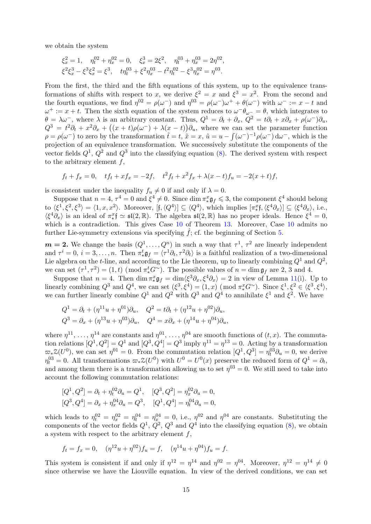we obtain the system

$$
\xi_x^2 = 1, \quad \eta_t^{02} + \eta_x^{02} = 0, \quad \xi_x^3 = 2\xi^2, \quad \eta_t^{03} + \eta_x^{03} = 2\eta^{02},
$$
  

$$
\xi^2 \xi_x^3 - \xi^3 \xi_x^2 = \xi^3, \quad t\eta_t^{03} + \xi^2 \eta_x^{03} - t^2 \eta_t^{02} - \xi^3 \eta_x^{02} = \eta^{03}.
$$

From the first, the third and the fifth equations of this system, up to the equivalence transformations of shifts with respect to x, we derive  $\xi^2 = x$  and  $\xi^3 = x^2$ . From the second and the fourth equations, we find  $\eta^{02} = \rho(\omega^-)$  and  $\eta^{03} = \rho(\omega^-)\omega^+ + \theta(\omega^-)$  with  $\omega^- := x - t$  and  $\omega^+ := x + t$ . Then the sixth equation of the system reduces to  $\omega^- \theta_{\omega^-} = \theta$ , which integrates to  $\theta = \lambda \omega^-,$  where  $\lambda$  is an arbitrary constant. Thus,  $Q^1 = \partial_t + \partial_x$ ,  $Q^2 = t\partial_t + x\partial_x + \rho(\omega^-)\partial_u$ ,  $Q^3 = t^2 \partial_t + x^2 \partial_x + ((x+t)\rho(\omega^{-}) + \lambda(x-t))\partial_u$ , where we can set the parameter function  $\rho = \rho(\omega^-)$  to zero by the transformation  $\tilde{t} = t$ ,  $\tilde{x} = x$ ,  $\tilde{u} = u - \int (\omega^-)^{-1} \rho(\omega^-) d\omega^-$ , which is the projection of an equivalence transformation. We successively substitute the components of the vector fields  $Q^1$ ,  $Q^2$  and  $Q^3$  into the classifying equation [\(8\)](#page-6-1). The derived system with respect to the arbitrary element  $f$ ,

$$
f_t + f_x = 0
$$
,  $tf_t + xf_x = -2f$ ,  $t^2f_t + x^2f_x + \lambda(x - t)f_y = -2(x + t)f$ ,

is consistent under the inequality  $f_u \neq 0$  if and only if  $\lambda = 0$ .

Suppose that  $n = 4$ ,  $\tau^4 = 0$  and  $\xi^4 \neq 0$ . Since  $\dim \pi^x_* \mathfrak{g}_f \leq 3$ , the component  $\xi^4$  should belong to  $\langle \xi^1, \xi^2, \xi^3 \rangle = \langle 1, x, x^2 \rangle$ . Moreover,  $[\mathfrak{f}, \langle Q^4 \rangle] \subseteq \langle Q^4 \rangle$ , which implies  $[\pi_*^x \mathfrak{f}, \langle \xi^4 \partial_x \rangle] \subseteq \langle \xi^4 \partial_x \rangle$ , i.e.,  $\langle \xi^4 \partial_x \rangle$  is an ideal of  $\pi_*^* \uparrow \simeq \mathfrak{sl}(2,\mathbb{R})$ . The algebra  $\mathfrak{sl}(2,\mathbb{R})$  has no proper ideals. Hence  $\xi^4 = 0$ , which is a contradiction. This gives Case [10](#page-9-9) of Theorem [13.](#page-9-1) Moreover, Case 10 admits no further Lie-symmetry extensions via specifying  $f$ ; cf. the beginning of Section [5.](#page-18-0)

 $m = 2$ . We change the basis  $(Q^1, \ldots, Q^n)$  in such a way that  $\tau^1$ ,  $\tau^2$  are linearly independent and  $\tau^i = 0$ ,  $i = 3, ..., n$ . Then  $\pi^t_* \mathfrak{g}_f = \langle \tau^1 \partial_t, \tau^2 \partial_t \rangle$  is a faithful realization of a two-dimensional Lie algebra on the *t*-line, and according to the Lie theorem, up to linearly combining  $Q^1$  and  $Q^2$ , we can set  $(\tau^1, \tau^2) = (1, t)$  (mod  $\pi_*^t G^{\sim}$ ). The possible values of  $n = \dim \mathfrak{g}_f$  are 2, 3 and 4.

Suppose that  $n = 4$ . Then  $\dim \pi_*^x \mathfrak{g}_f = \dim \langle \xi^3 \partial_x, \xi^4 \partial_x \rangle = 2$  in view of Lemma [11\(](#page-7-1)i). Up to linearly combining  $Q^3$  and  $Q^4$ , we can set  $(\xi^3, \xi^4) = (1, x) \pmod{\pi_x^x G^\sim}$ . Since  $\xi^1, \xi^2 \in \langle \xi^3, \xi^4 \rangle$ , we can further linearly combine  $Q^1$  and  $Q^2$  with  $Q^3$  and  $Q^4$  to annihilate  $\xi^1$  and  $\xi^2$ . We have

$$
Q^{1} = \partial_{t} + (\eta^{11}u + \eta^{01})\partial_{u}, \quad Q^{2} = t\partial_{t} + (\eta^{12}u + \eta^{02})\partial_{u},
$$
  

$$
Q^{3} = \partial_{x} + (\eta^{13}u + \eta^{03})\partial_{u}, \quad Q^{4} = x\partial_{x} + (\eta^{14}u + \eta^{04})\partial_{u},
$$

where  $\eta^{11}, \ldots, \eta^{14}$  are constants and  $\eta^{01}, \ldots, \eta^{04}$  are smooth functions of  $(t, x)$ . The commutation relations  $[Q^1, Q^2] = Q^1$  and  $[Q^3, Q^4] = Q^3$  imply  $\eta^{11} = \eta^{13} = 0$ . Acting by a transformation  $\varpi_*Z(U^0)$ , we can set  $\eta^{01} = 0$ . From the commutation relation  $[Q^1, Q^3] = \eta_t^{03} \partial_u = 0$ , we derive  $\eta_t^{03} = 0$ . All transformations  $\omega_* \mathcal{Z}(U^0)$  with  $U^0 = U^0(x)$  preserve the reduced form of  $Q^1 = \partial_t$ , and among them there is a transformation allowing us to set  $\eta^{03} = 0$ . We still need to take into account the following commutation relations:

$$
[Q^1, Q^2] = \partial_t + \eta_t^{02} \partial_u = Q^1, \quad [Q^3, Q^2] = \eta_x^{02} \partial_u = 0,
$$
  

$$
[Q^3, Q^4] = \partial_x + \eta_x^{04} \partial_u = Q^3, \quad [Q^1, Q^4] = \eta_t^{04} \partial_u = 0,
$$

which leads to  $\eta_t^{02} = \eta_x^{02} = \eta_t^{04} = \eta_x^{04} = 0$ , i.e.,  $\eta^{02}$  and  $\eta^{04}$  are constants. Substituting the components of the vector fields  $Q^1$ ,  $Q^2$ ,  $Q^3$  and  $Q^4$  into the classifying equation [\(8\)](#page-6-1), we obtain a system with respect to the arbitrary element  $f$ ,

$$
f_t = f_x = 0
$$
,  $(\eta^{12}u + \eta^{02})f_u = f$ ,  $(\eta^{14}u + \eta^{04})f_u = f$ .

This system is consistent if and only if  $\eta^{12} = \eta^{14}$  and  $\eta^{02} = \eta^{04}$ . Moreover,  $\eta^{12} = \eta^{14} \neq 0$ since otherwise we have the Liouville equation. In view of the derived conditions, we can set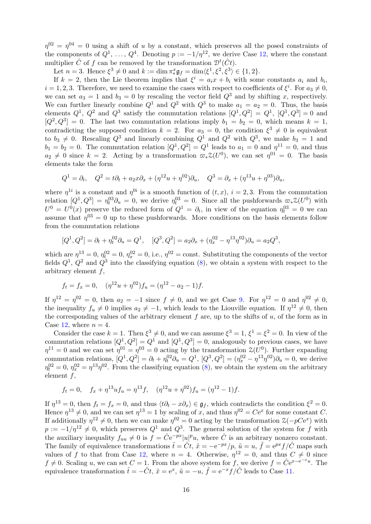$\eta^{02} = \eta^{04} = 0$  using a shift of u by a constant, which preserves all the posed constraints of the components of  $Q^1, \ldots, Q^4$ . Denoting  $p := -1/\eta^{12}$ , we derive Case [12,](#page-9-11) where the constant multiplier  $\hat{C}$  of f can be removed by the transformation  $\mathcal{D}^t(\hat{C}t)$ .

Let  $n = 3$ . Hence  $\xi^3 \neq 0$  and  $k := \dim \pi_*^x \mathfrak{g}_f = \dim \langle \xi^1, \xi^2, \xi^3 \rangle \in \{1, 2\}.$ 

If  $k = 2$ , then the Lie theorem implies that  $\xi^i = a_i x + b_i$  with some constants  $a_i$  and  $b_i$ ,  $i = 1, 2, 3$ . Therefore, we need to examine the cases with respect to coefficients of  $\xi^i$ . For  $a_3 \neq 0$ , we can set  $a_3 = 1$  and  $b_3 = 0$  by rescaling the vector field  $Q^3$  and by shifting x, respectively. We can further linearly combine  $Q^1$  and  $Q^2$  with  $Q^3$  to make  $a_1 = a_2 = 0$ . Thus, the basis elements  $Q^1$ ,  $Q^2$  and  $Q^3$  satisfy the commutation relations  $[Q^1, Q^2] = Q^1$ ,  $[Q^1, Q^3] = 0$  and  $[Q^2, Q^3] = 0$ . The last two commutation relations imply  $b_1 = b_2 = 0$ , which means  $k = 1$ , contradicting the supposed condition  $k = 2$ . For  $a_3 = 0$ , the condition  $\xi^3 \neq 0$  is equivalent to  $b_3 \neq 0$ . Rescaling  $Q^3$  and linearly combining  $Q^1$  and  $Q^2$  with  $Q^3$ , we make  $b_3 = 1$  and  $b_1 = b_2 = 0$ . The commutation relation  $[Q^1, Q^2] = Q^1$  leads to  $a_1 = 0$  and  $\eta^{11} = 0$ , and thus  $a_2 \neq 0$  since  $k = 2$ . Acting by a transformation  $\varpi_* \mathcal{Z}(U^0)$ , we can set  $\eta^{01} = 0$ . The basis elements take the form

$$
Q^{1} = \partial_{t}, \quad Q^{2} = t\partial_{t} + a_{2}x\partial_{x} + (\eta^{12}u + \eta^{02})\partial_{u}, \quad Q^{3} = \partial_{x} + (\eta^{13}u + \eta^{03})\partial_{u},
$$

where  $\eta^{1i}$  is a constant and  $\eta^{0i}$  is a smooth function of  $(t, x)$ ,  $i = 2, 3$ . From the commutation relation  $[Q^1, Q^3] = \eta_t^{03} \partial_u = 0$ , we derive  $\eta_t^{03} = 0$ . Since all the pushforwards  $\pi_* \mathcal{Z}(U^0)$  with  $U^0 = U^0(x)$  preserve the reduced form of  $Q^1 = \partial_t$ , in view of the equation  $\eta_t^{03} = 0$  we can assume that  $\eta^{03} = 0$  up to these pushforwards. More conditions on the basis elements follow from the commutation relations

$$
[Q^1, Q^2] = \partial_t + \eta_t^{02} \partial_u = Q^1, \quad [Q^3, Q^2] = a_2 \partial_x + (\eta_x^{02} - \eta^{13} \eta^{02}) \partial_u = a_2 Q^3,
$$

which are  $\eta^{13} = 0$ ,  $\eta_t^{02} = 0$ ,  $\eta_x^{02} = 0$ , i.e.,  $\eta^{02} = \text{const.}$  Substituting the components of the vector fields  $Q^1$ ,  $Q^2$  and  $Q^3$  into the classifying equation [\(8\)](#page-6-1), we obtain a system with respect to the arbitrary element  $f$ ,

$$
f_t = f_x = 0
$$
,  $(\eta^{12}u + \eta^{02})f_u = (\eta^{12} - a_2 - 1)f$ .

If  $\eta^{12} = \eta^{02} = 0$ , then  $a_2 = -1$  since  $f \neq 0$ , and we get Case [9.](#page-9-8) For  $\eta^{12} = 0$  and  $\eta^{02} \neq 0$ , the inequality  $f_u \neq 0$  implies  $a_2 \neq -1$ , which leads to the Liouville equation. If  $\eta^{12} \neq 0$ , then the corresponding values of the arbitrary element  $f$  are, up to the shifts of  $u$ , of the form as in Case [12,](#page-9-11) where  $n = 4$ .

Consider the case  $k = 1$ . Then  $\xi^3 \neq 0$ , and we can assume  $\xi^3 = 1$ ,  $\xi^1 = \xi^2 = 0$ . In view of the commutation relations  $[Q^1, Q^2] = Q^1$  and  $[Q^1, Q^3] = 0$ , analogously to previous cases, we have  $\eta^{11} = 0$  and we can set  $\eta^{01} = \eta^{03} = 0$  acting by the transformation  $\mathcal{Z}(U^0)$ . Further expanding commutation relations,  $[Q^1, Q^2] = \partial_t + \eta_t^{02} \partial_u = Q^1$ ,  $[Q^3, Q^2] = (\eta_x^{02} - \eta^{13} \eta^{02}) \partial_u = 0$ , we derive  $\eta_t^{02} = 0$ ,  $\eta_x^{02} = \eta^{13} \eta^{02}$ . From the classifying equation [\(8\)](#page-6-1), we obtain the system on the arbitrary element  $f$ ,

$$
f_t = 0
$$
,  $f_x + \eta^{13} u f_u = \eta^{13} f$ ,  $(\eta^{12} u + \eta^{02}) f_u = (\eta^{12} - 1) f$ .

If  $\eta^{13} = 0$ , then  $f_t = f_x = 0$ , and thus  $\langle t\partial_t - x\partial_x \rangle \in \mathfrak{g}_f$ , which contradicts the condition  $\xi^2 = 0$ . Hence  $\eta^{13} \neq 0$ , and we can set  $\eta^{13} = 1$  by scaling of x, and thus  $\eta^{02} = Ce^x$  for some constant C. If additionally  $\eta^{12} \neq 0$ , then we can make  $\eta^{02} = 0$  acting by the transformation  $\mathcal{Z}(-pCe^x)$  with  $p := -1/\eta^{12} \neq 0$ , which preserves  $Q^1$  and  $Q^3$ . The general solution of the system for f with the auxiliary inequality  $f_{uu} \neq 0$  is  $f = \hat{C}e^{-px} |u|^p u$ , where  $\hat{C}$  is an arbitrary nonzero constant. The family of equivalence transformations  $\tilde{t} = \hat{C}t$ ,  $\tilde{x} = -e^{-px}/p$ ,  $\tilde{u} = u$ ,  $\tilde{f} = e^{px}f/\hat{C}$  maps such values of f to that from Case [12,](#page-9-11) where  $n = 4$ . Otherwise,  $\eta^{12} = 0$ , and thus  $C \neq 0$  since  $f \neq 0$ . Scaling u, we can set  $C = 1$ . From the above system for f, we derive  $f = \hat{C}e^{x - e^{-x}u}$ . The equivalence transformation  $\tilde{t} = -\hat{C}t$ ,  $\tilde{x} = e^x$ ,  $\tilde{u} = -u$ ,  $\tilde{f} = e^{-x}f/\hat{C}$  leads to Case [11.](#page-9-10)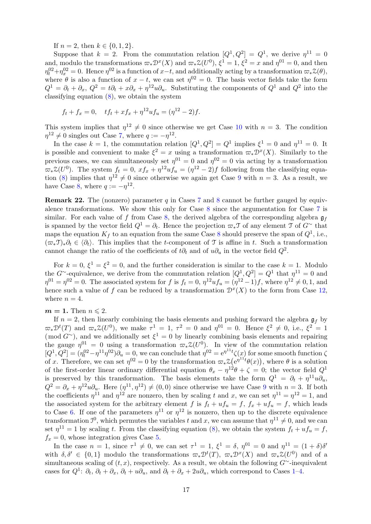If  $n = 2$ , then  $k \in \{0, 1, 2\}$ .

Suppose that  $k = 2$ . From the commutation relation  $[Q^1, Q^2] = Q^1$ , we derive  $\eta^{11} = 0$ and, modulo the transformations  $\varpi_* \mathcal{D}^x(X)$  and  $\varpi_* \mathcal{Z}(U^0)$ ,  $\xi^1 = 1$ ,  $\xi^2 = x$  and  $\eta^{01} = 0$ , and then  $\eta_t^{02} + \eta_x^{02} = 0$ . Hence  $\eta^{02}$  is a function of  $x-t$ , and additionally acting by a transformation  $\varpi_* \mathcal{Z}(\theta)$ , where  $\theta$  is also a function of  $x - t$ , we can set  $\eta^{02} = 0$ . The basis vector fields take the form  $Q^1 = \partial_t + \partial_x$ ,  $Q^2 = t\partial_t + x\partial_x + \eta^{12}u\partial_u$ . Substituting the components of  $Q^1$  and  $Q^2$  into the classifying equation [\(8\)](#page-6-1), we obtain the system

$$
f_t + f_x = 0
$$
,  $tf_t + xf_x + \eta^{12}uf_u = (\eta^{12} - 2)f$ .

This system implies that  $\eta^{12} \neq 0$  since otherwise we get Case [10](#page-9-9) with  $n = 3$ . The condition  $\eta^{12} \neq 0$  singles out Case [7,](#page-9-6) where  $q := -\eta^{12}$ .

In the case  $k = 1$ , the commutation relation  $[Q^1, Q^2] = Q^1$  implies  $\xi^1 = 0$  and  $\eta^{11} = 0$ . It is possible and convenient to make  $\xi^2 = x$  using a transformation  $\varpi_* \mathcal{D}^x(X)$ . Similarly to the previous cases, we can simultaneously set  $\eta^{01} = 0$  and  $\eta^{02} = 0$  via acting by a transformation  $\varpi_*\mathcal{Z}(U^0)$ . The system  $f_t = 0$ ,  $xf_x + \eta^{12}uf_y = (\eta^{12} - 2)f$  following from the classifying equa-tion [\(8\)](#page-6-1) implies that  $\eta^{12} \neq 0$  since otherwise we again get Case [9](#page-9-8) with  $n = 3$ . As a result, we have Case [8,](#page-9-7) where  $q := -\eta^{12}$ .

<span id="page-16-0"></span>**Remark 22.** The (nonzero) parameter q in Cases [7](#page-9-6) and [8](#page-9-7) cannot be further gauged by equivalence transformations. We show this only for Case [8](#page-9-7) since the argumentation for Case [7](#page-9-6) is similar. For each value of f from Case [8,](#page-9-7) the derived algebra of the corresponding algebra  $\mathfrak{g}_f$ is spanned by the vector field  $Q^1 = \partial_t$ . Hence the projection  $\varpi_*\mathfrak{I}$  of any element  $\mathfrak{I}$  of  $G^{\sim}$  that maps the equation  $K_f$  to an equation from the same Case [8](#page-9-7) should preserve the span of  $Q^1$ , i.e.,  $({\varpi_*\mathfrak{T}})_*\partial_t \in {\vartheta_t}$ . This implies that the t-component of T is affine in t. Such a transformation cannot change the ratio of the coefficients of  $t\partial_t$  and of  $u\partial_u$  in the vector field  $Q^2$ .

For  $k = 0, \xi^1 = \xi^2 = 0$ , and the further consideration is similar to the case  $k = 1$ . Modulo the G<sup>∼</sup>-equivalence, we derive from the commutation relation  $[Q^1, Q^2] = Q^1$  that  $\eta^{11} = 0$  and  $\eta^{01} = \eta^{02} = 0$ . The associated system for f is  $f_t = 0$ ,  $\eta^{12} u f_u = (\eta^{12} - 1)f$ , where  $\eta^{12} \neq 0, 1$ , and hence such a value of f can be reduced by a transformation  $\mathcal{D}^x(X)$  to the form from Case [12,](#page-9-11) where  $n = 4$ .

#### $m = 1$ . Then  $n \leq 2$ .

If  $n = 2$ , then linearly combining the basis elements and pushing forward the algebra  $\mathfrak{g}_f$  by  $\varpi_*\mathcal{D}^t(T)$  and  $\varpi_*\mathcal{Z}(U^0)$ , we make  $\tau^1 = 1$ ,  $\tau^2 = 0$  and  $\eta^{01} = 0$ . Hence  $\xi^2 \neq 0$ , i.e.,  $\xi^2 = 1$ (mod  $G^{\sim}$ ), and we additionally set  $\xi^1 = 0$  by linearly combining basis elements and repairing the gauge  $\eta^{01} = 0$  using a transformation  $\varpi_* \mathcal{Z}(U^0)$ . In view of the commutation relation  $[Q^1, Q^2] = (\eta_t^{02} - \eta^{11}\eta^{02})\partial_u = 0$ , we can conclude that  $\eta^{02} = e^{\eta^{11}t}\zeta(x)$  for some smooth function  $\zeta$ of x. Therefore, we can set  $\eta^{02} = 0$  by the transformation  $\varpi_* \mathcal{Z}(e^{\eta^{11}t}\theta(x))$ , where  $\theta$  is a solution of the first-order linear ordinary differential equation  $\theta_x - \eta^{12}\theta + \zeta = 0$ ; the vector field  $Q^1$ is preserved by this transformation. The basis elements take the form  $Q^1 = \partial_t + \eta^{11} u \partial_u$ ,  $Q^2 = \partial_x + \eta^{12}u\partial_y$ . Here  $(\eta^{11}, \eta^{12}) \neq (0, 0)$  since otherwise we have Case [9](#page-9-8) with  $n = 3$ . If both the coefficients  $\eta^{11}$  and  $\eta^{12}$  are nonzero, then by scaling t and x, we can set  $\eta^{11} = \eta^{12} = 1$ , and the associated system for the arbitrary element f is  $f_t + uf_u = f$ ,  $f_x + uf_u = f$ , which leads to Case [6.](#page-9-5) If one of the parameters  $\eta^{11}$  or  $\eta^{12}$  is nonzero, then up to the discrete equivalence transformation  $\mathcal{I}^0$ , which permutes the variables t and x, we can assume that  $\eta^{11} \neq 0$ , and we can set  $\eta^{11} = 1$  by scaling t. From the classifying equation [\(8\)](#page-6-1), we obtain the system  $f_t + uf_u = f$ ,  $f_x = 0$ , whose integration gives Case [5.](#page-9-16)

In the case  $n = 1$ , since  $\tau^1 \neq 0$ , we can set  $\tau^1 = 1$ ,  $\xi^1 = \delta$ ,  $\eta^{01} = 0$  and  $\eta^{11} = (1 + \delta)\delta'$ with  $\delta, \delta' \in \{0, 1\}$  modulo the transformations  $\varpi_* \mathcal{D}^t(T)$ ,  $\varpi_* \mathcal{D}^x(X)$  and  $\varpi_* \mathcal{Z}(U^0)$  and of a simultaneous scaling of  $(t, x)$ , respectively. As a result, we obtain the following  $G^{\sim}$ -inequivalent cases for  $Q^1$ :  $\partial_t$ ,  $\partial_t + \partial_x$ ,  $\partial_t + u\partial_u$ , and  $\partial_t + \partial_x + 2u\partial_u$ , which correspond to Cases 1-[4.](#page-9-15)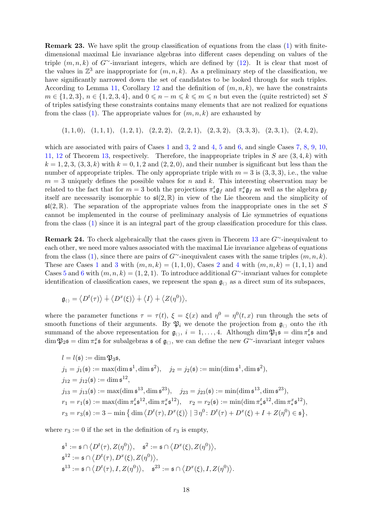<span id="page-17-1"></span>Remark 23. We have split the group classification of equations from the class [\(1\)](#page-0-0) with finitedimensional maximal Lie invariance algebras into different cases depending on values of the triple  $(m, n, k)$  of G<sup>∼</sup>-invariant integers, which are defined by [\(12\)](#page-12-1). It is clear that most of the values in  $\mathbb{Z}^3$  are inappropriate for  $(m, n, k)$ . As a preliminary step of the classification, we have significantly narrowed down the set of candidates to be looked through for such triples. According to Lemma [11,](#page-7-1) Corollary [12](#page-9-17) and the definition of  $(m, n, k)$ , we have the constraints  $m \in \{1, 2, 3\}, n \in \{1, 2, 3, 4\},\$ and  $0 \leq n - m \leq k \leq m \leq n$  but even the (quite restricted) set S of triples satisfying these constraints contains many elements that are not realized for equations from the class  $(1)$ . The appropriate values for  $(m, n, k)$  are exhausted by

$$
(1,1,0),\ (1,1,1),\ (1,2,1),\ (2,2,2),\ (2,2,1),\ (2,3,2),\ (3,3,3),\ (2,3,1),\ (2,4,2),
$$

which are associated with pairs of Cases  $1$  and  $3$ ,  $2$  and  $4$ ,  $5$  and  $6$ , and single Cases  $7, 8, 9, 10$  $7, 8, 9, 10$  $7, 8, 9, 10$  $7, 8, 9, 10$  $7, 8, 9, 10$  $7, 8, 9, 10$ , [11,](#page-9-10) [12](#page-9-11) of Theorem [13,](#page-9-1) respectively. Therefore, the inappropriate triples in S are  $(3, 4, k)$  with  $k = 1, 2, 3, (3, 3, k)$  with  $k = 0, 1, 2$  and  $(2, 2, 0)$ , and their number is significant but less than the number of appropriate triples. The only appropriate triple with  $m = 3$  is  $(3, 3, 3)$ , i.e., the value  $m = 3$  uniquely defines the possible values for n and k. This interesting observation may be related to the fact that for  $m = 3$  both the projections  $\pi^t_* \mathfrak{g}_f$  and  $\pi^x_* \mathfrak{g}_f$  as well as the algebra  $\mathfrak{g}_f$ itself are necessarily isomorphic to  $\mathfrak{sl}(2,\mathbb{R})$  in view of the Lie theorem and the simplicity of  $\mathfrak{sl}(2,\mathbb{R})$ . The separation of the appropriate values from the inappropriate ones in the set S cannot be implemented in the course of preliminary analysis of Lie symmetries of equations from the class [\(1\)](#page-0-0) since it is an integral part of the group classification procedure for this class.

<span id="page-17-0"></span>**Remark 24.** To check algebraically that the cases given in Theorem [13](#page-9-1) are  $G^{\sim}$ -inequivalent to each other, we need more values associated with the maximal Lie invariance algebras of equations from the class [\(1\)](#page-0-0), since there are pairs of  $G^{\sim}$ -inequivalent cases with the same triples  $(m, n, k)$ . These are Cases [1](#page-9-12) and [3](#page-9-13) with  $(m, n, k) = (1, 1, 0)$ , Cases [2](#page-9-14) and [4](#page-9-15) with  $(m, n, k) = (1, 1, 1)$  and Cases [5](#page-9-16) and [6](#page-9-5) with  $(m, n, k) = (1, 2, 1)$ . To introduce additional G<sup>∼</sup>-invariant values for complete identification of classification cases, we represent the span  $\mathfrak{g}_{\langle\rangle}$  as a direct sum of its subspaces,

$$
\mathfrak{g}_{\langle\rangle} = \langle D^t(\tau) \rangle \dotplus \langle D^x(\xi) \rangle \dotplus \langle I \rangle \dotplus \langle Z(\eta^0) \rangle,
$$

where the parameter functions  $\tau = \tau(t)$ ,  $\xi = \xi(x)$  and  $\eta^0 = \eta^0(t, x)$  run through the sets of smooth functions of their arguments. By  $\mathfrak{P}_i$  we denote the projection from  $\mathfrak{g}_{\langle\rangle}$  onto the *i*th summand of the above representation for  $\mathfrak{g}_{\langle}, i = 1, \ldots, 4$ . Although dim  $\mathfrak{P}_1$ **s** = dim  $\pi_*^t$ ∗ s and  $\dim \mathfrak{P}_2$ s =  $\dim \pi^x_*$  $x_{\ast}$ s for subalgebras s of  $\mathfrak{g}_{\langle \rangle}$ , we can define the new G<sup>∼</sup>-invariant integer values

$$
l = l(\mathfrak{s}) := \dim \mathfrak{P}_3 \mathfrak{s},
$$
  
\n
$$
j_1 = j_1(\mathfrak{s}) := \max(\dim \mathfrak{s}^1, \dim \mathfrak{s}^2), \quad j_2 = j_2(\mathfrak{s}) := \min(\dim \mathfrak{s}^1, \dim \mathfrak{s}^2),
$$
  
\n
$$
j_{12} = j_{12}(\mathfrak{s}) := \dim \mathfrak{s}^{12},
$$
  
\n
$$
j_{13} = j_{13}(\mathfrak{s}) := \max(\dim \mathfrak{s}^{13}, \dim \mathfrak{s}^{23}), \quad j_{23} = j_{23}(\mathfrak{s}) := \min(\dim \mathfrak{s}^{13}, \dim \mathfrak{s}^{23}),
$$
  
\n
$$
r_1 = r_1(\mathfrak{s}) := \max(\dim \pi_*^t \mathfrak{s}^{12}, \dim \pi_*^x \mathfrak{s}^{12}), \quad r_2 = r_2(\mathfrak{s}) := \min(\dim \pi_*^t \mathfrak{s}^{12}, \dim \pi_*^x \mathfrak{s}^{12}),
$$
  
\n
$$
r_3 = r_3(\mathfrak{s}) := 3 - \min \{ \dim \langle D^t(\tau), D^x(\xi) \rangle \mid \exists \eta^0 : D^t(\tau) + D^x(\xi) + I + Z(\eta^0) \in \mathfrak{s} \},
$$

where  $r_3 := 0$  if the set in the definition of  $r_3$  is empty,

$$
\begin{aligned}\n\mathfrak{s}^1 &:= \mathfrak{s} \cap \langle D^t(\tau), Z(\eta^0) \rangle, \quad \mathfrak{s}^2 := \mathfrak{s} \cap \langle D^x(\xi), Z(\eta^0) \rangle, \\
\mathfrak{s}^{12} &:= \mathfrak{s} \cap \langle D^t(\tau), D^x(\xi), Z(\eta^0) \rangle, \\
\mathfrak{s}^{13} &:= \mathfrak{s} \cap \langle D^t(\tau), I, Z(\eta^0) \rangle, \quad \mathfrak{s}^{23} := \mathfrak{s} \cap \langle D^x(\xi), I, Z(\eta^0) \rangle.\n\end{aligned}
$$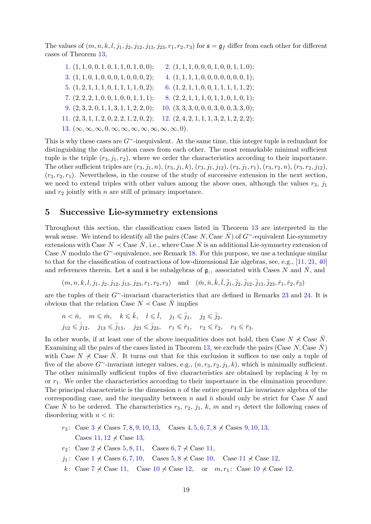The values of  $(m, n, k, l, j_1, j_2, j_{12}, j_{13}, j_{23}, r_1, r_2, r_3)$  for  $\mathfrak{s} = \mathfrak{g}_f$  differ from each other for different cases of Theorem [13,](#page-9-1)

| 3. $(1, 1, 0, 1, 0, 0, 0, 1, 0, 0, 0, 2);$<br>4. $(1, 1, 1, 1, 0, 0, 0, 0, 0, 0, 0, 1);$<br>6. $(1, 2, 1, 1, 0, 0, 1, 1, 1, 1, 1, 2);$<br>$5.$ $(1, 2, 1, 1, 1, 0, 1, 1, 1, 1, 0, 2);$<br>7. $(2, 2, 2, 1, 0, 0, 1, 0, 0, 1, 1, 1);$<br>8. $(2, 2, 1, 1, 1, 0, 1, 1, 0, 1, 0, 1);$ | 2. $(1, 1, 1, 0, 0, 0, 1, 0, 0, 1, 1, 0);$ |
|------------------------------------------------------------------------------------------------------------------------------------------------------------------------------------------------------------------------------------------------------------------------------------|--------------------------------------------|
|                                                                                                                                                                                                                                                                                    |                                            |
|                                                                                                                                                                                                                                                                                    |                                            |
|                                                                                                                                                                                                                                                                                    |                                            |
| 9. $(2,3,2,0,1,1,3,1,1,2,2,0);$<br>10. $(3,3,3,0,0,0,3,0,0,3,3,0);$                                                                                                                                                                                                                |                                            |
| 12. $(2, 4, 2, 1, 1, 1, 3, 2, 1, 2, 2, 2);$<br>$11. (2, 3, 1, 1, 2, 0, 2, 2, 1, 2, 0, 2);$                                                                                                                                                                                         |                                            |
| 13. $(\infty, \infty, \infty, 0, \infty, \infty, \infty, \infty, \infty, \infty, \infty, 0).$                                                                                                                                                                                      |                                            |

This is why these cases are  $G^{\sim}$ -inequivalent. At the same time, this integer tuple is redundant for distinguishing the classification cases from each other. The most remarkable minimal sufficient tuple is the triple  $(r_3, j_1, r_2)$ , where we order the characteristics according to their importance. The other sufficient triples are  $(r_3, j_1, n)$ ,  $(r_3, j_1, k)$ ,  $(r_3, j_1, j_{12})$ ,  $(r_3, j_1, r_1)$ ,  $(r_3, r_2, n)$ ,  $(r_3, r_2, j_{12})$ ,  $(r_3, r_2, r_1)$ . Nevertheless, in the course of the study of successive extension in the next section, we need to extend triples with other values among the above ones, although the values  $r_3$ ,  $j_1$ and  $r_2$  jointly with  $n$  are still of primary importance.

#### <span id="page-18-0"></span>5 Successive Lie-symmetry extensions

Throughout this section, the classification cases listed in Theorem [13](#page-9-1) are interpreted in the weak sense. We intend to identify all the pairs (Case N, Case  $\bar{N}$ ) of  $G^{\sim}$ -equivalent Lie-symmetry extensions with Case  $N \prec$  Case  $\bar{N}$ , i.e., where Case  $\bar{N}$  is an additional Lie-symmetry extension of Case N modulo the  $G^{\sim}$ -equivalence, see Remark [18.](#page-10-1) For this purpose, we use a technique similar to that for the classification of contractions of low-dimensional Lie algebras, see, e.g., [\[11,](#page-28-23) [21,](#page-28-24) [40\]](#page-29-24) and references therein. Let  $\mathfrak s$  and  $\bar{\mathfrak s}$  be subalgebras of  $\mathfrak g_{\langle\rangle}$  associated with Cases N and N, and

 $(m, n, k, l, j_1, j_2, j_{12}, j_{13}, j_{23}, r_1, r_2, r_3)$  and  $(\bar{m}, \bar{n}, \bar{k}, \bar{l}, \bar{j}_1, \bar{j}_2, \bar{j}_{12}, \bar{j}_{13}, \bar{j}_{23}, \bar{r}_1, \bar{r}_2, \bar{r}_3)$ 

are the tuples of their G∼-invariant characteristics that are defined in Remarks [23](#page-17-1) and [24.](#page-17-0) It is obvious that the relation Case  $N \prec$  Case  $\overline{N}$  implies

$$
\begin{aligned} n &< \bar{n}, \quad m \leqslant \bar{m}, \quad k \leqslant \bar{k}, \quad l \leqslant \bar{l}, \quad j_1 \leqslant \bar{j}_1, \quad j_2 \leqslant \bar{j}_2, \\ j_{12} &< \bar{j}_{12}, \quad j_{13} \leqslant \bar{j}_{13}, \quad j_{23} \leqslant \bar{j}_{23}, \quad r_1 \leqslant \bar{r}_1, \quad r_2 \leqslant \bar{r}_2, \quad r_3 \leqslant \bar{r}_3. \end{aligned}
$$

In other words, if at least one of the above inequalities does not hold, then Case  $N \nless$  Case  $\overline{N}$ . Examining all the pairs of the cases listed in Theorem [13,](#page-9-1) we exclude the pairs (Case  $N$ , Case  $N$ ) with Case  $N \nless \nightharpoonup C$  Case N. It turns out that for this exclusion it suffices to use only a tuple of five of the above  $G^{\sim}$ -invariant integer values, e.g.,  $(n, r_3, r_2, j_1, k)$ , which is minimally sufficient. The other minimally sufficient tuples of five characteristics are obtained by replacing  $k$  by m or  $r_1$ . We order the characteristics according to their importance in the elimination procedure. The principal characteristic is the dimension  $n$  of the entire general Lie invariance algebra of the corresponding case, and the inequality between n and  $\bar{n}$  should only be strict for Case N and Case  $\bar{N}$  to be ordered. The characteristics  $r_3$ ,  $r_2$ ,  $j_1$ , k, m and  $r_1$  detect the following cases of disordering with  $n < \bar{n}$ :

- r<sub>[3](#page-9-13)</sub>: Case  $3 \nless$  Cases [7](#page-9-6), [8](#page-9-7), [9](#page-9-8), [10](#page-9-9), [13](#page-9-3), Cases [4](#page-9-15), [5](#page-9-16), [6](#page-9-5), 7, 8  $\nless$  Cases 9, 10, 13, Cases  $11, 12 \nless$  $11, 12 \nless$  $11, 12 \nless$  $11, 12 \nless$  Case [13](#page-9-3),
- $r_2$  $r_2$ : Case 2  $\nless$  Cases [5](#page-9-16), [8](#page-9-7), [11](#page-9-10), Cases [6](#page-9-5), [7](#page-9-6)  $\nless$  Case 11,
- $j_1$  $j_1$ : Case 1  $\neq$  Cases [6](#page-9-5), [7](#page-9-6), [10](#page-9-9), Cases [5](#page-9-16), [8](#page-9-7)  $\neq$  Case 10, Case [11](#page-9-10)  $\neq$  Case [12](#page-9-11),
- k: Case  $7 \nless$  $7 \nless$  Case [11](#page-9-10), Case [10](#page-9-9)  $\nless$  Case [12](#page-9-11), or  $m, r_1$ : Case 10  $\nless$  Case 12.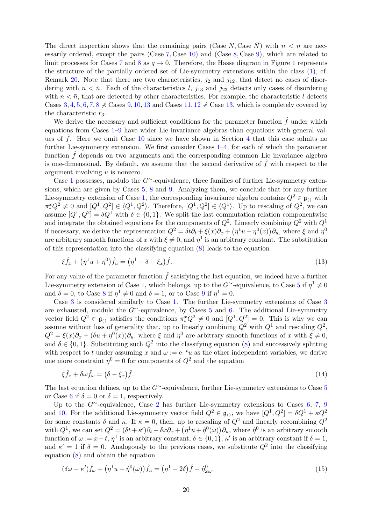The direct inspection shows that the remaining pairs (Case N, Case  $\bar{N}$ ) with  $n < \bar{n}$  are necessarily ordered, except the pairs (Case [7](#page-9-6), Case [10\)](#page-9-9) and (Case [8](#page-9-7), Case [9\)](#page-9-8), which are related to limit processes for Cases [7](#page-9-6) and [8](#page-9-7) as  $q \to 0$ . Therefore, the Hasse diagram in Figure [1](#page-11-0) represents the structure of the partially ordered set of Lie-symmetry extensions within the class [\(1\)](#page-0-0), cf. Remark [20.](#page-11-2) Note that there are two characteristics,  $j_2$  and  $j_{12}$ , that detect no cases of disordering with  $n < \bar{n}$ . Each of the characteristics l,  $j_{13}$  and  $j_{23}$  detects only cases of disordering with  $n < \bar{n}$ , that are detected by other characteristics. For example, the characteristic l detects Cases [3](#page-9-13), [4](#page-9-15), [5](#page-9-16), [6](#page-9-5), [7](#page-9-6), [8](#page-9-7)  $\not\prec$  Cases [9](#page-9-8), [10](#page-9-9), [13](#page-9-3) and Cases [11](#page-9-10), [12](#page-9-11)  $\not\prec$  Case [13,](#page-9-3) which is completely covered by the characteristic  $r_3$ .

We derive the necessary and sufficient conditions for the parameter function  $\hat{f}$  under which equations from Cases [1–](#page-9-12)[9](#page-9-8) have wider Lie invariance algebras than equations with general values of  $f$ . Here we omit Case [10](#page-9-9) since we have shown in Section [4](#page-12-0) that this case admits no further Lie-symmetry extension. We first consider Cases [1–](#page-9-12)[4,](#page-9-15) for each of which the parameter function  $\hat{f}$  depends on two arguments and the corresponding common Lie invariance algebra is one-dimensional. By default, we assume that the second derivative of  $\tilde{f}$  with respect to the argument involving u is nonzero.

Case [1](#page-9-12) possesses, modulo the G∼-equivalence, three families of further Lie-symmetry extensions, which are given by Cases [5,](#page-9-16) [8](#page-9-7) and [9.](#page-9-8) Analyzing them, we conclude that for any further Lie-symmetry extension of Case [1,](#page-9-12) the corresponding invariance algebra contains  $Q^2 \in \mathfrak{g}_{\langle\rangle}$  with  $\pi_*^x Q^2 \neq 0$  and  $[Q^1, Q^2] \in \langle Q^1, Q^2 \rangle$ . Therefore,  $[Q^1, Q^2] \in \langle Q^1 \rangle$ . Up to rescaling of  $Q^2$ , we can assume  $[Q^1, Q^2] = \delta Q^1$  with  $\delta \in \{0, 1\}$ . We split the last commutation relation componentwise and integrate the obtained equations for the components of  $Q^2$ . Linearly combining  $Q^2$  with  $Q^1$ if necessary, we derive the representation  $Q^2 = \delta t \partial_t + \xi(x)\partial_x + (\eta^1 u + \eta^0(x))\partial_u$ , where  $\xi$  and  $\eta^0$ are arbitrary smooth functions of x with  $\xi \neq 0$ , and  $\eta^1$  is an arbitrary constant. The substitution of this representation into the classifying equation [\(8\)](#page-6-1) leads to the equation

<span id="page-19-0"></span>
$$
\xi \hat{f}_x + (\eta^1 u + \eta^0) \hat{f}_u = (\eta^1 - \delta - \xi_x) \hat{f}.
$$
\n(13)

For any value of the parameter function  $\hat{f}$  satisfying the last equation, we indeed have a further Lie-symmetry extension of Case [1,](#page-9-12) which belongs, up to the  $G^{\sim}$ -equivalence, to Case [5](#page-9-16) if  $\eta^{1} \neq 0$ and  $\delta = 0$ , to Case [8](#page-9-7) if  $\eta^1 \neq 0$  and  $\delta = 1$ , or to Case [9](#page-9-8) if  $\eta^1 = 0$ .

Case [3](#page-9-13) is considered similarly to Case [1.](#page-9-12) The further Lie-symmetry extensions of Case [3](#page-9-13) are exhausted, modulo the G∼-equivalence, by Cases [5](#page-9-16) and [6.](#page-9-5) The additional Lie-symmetry vector field  $Q^2 \in \mathfrak{g}_{\langle\rangle}$  satisfies the conditions  $\pi_*^x Q^2 \neq 0$  and  $[Q^1, Q^2] = 0$ . This is why we can assume without loss of generality that, up to linearly combining  $Q^2$  with  $Q^1$  and rescaling  $Q^2$ ,  $Q^2 = \xi(x)\partial_x + (\delta u + \eta^0(x))\partial_u$ , where  $\xi$  and  $\eta^0$  are arbitrary smooth functions of x with  $\xi \neq 0$ , and  $\delta \in \{0,1\}$ . Substituting such  $Q^2$  into the classifying equation [\(8\)](#page-6-1) and successively splitting with respect to t under assuming x and  $\omega := e^{-t}u$  as the other independent variables, we derive one more constraint  $\eta^0 = 0$  for components of  $Q^2$  and the equation

<span id="page-19-1"></span>
$$
\xi \hat{f}_x + \delta \omega \hat{f}_\omega = (\delta - \xi_x) \hat{f}.\tag{14}
$$

The last equation defines, up to the G∼-equivalence, further Lie-symmetry extensions to Case [5](#page-9-16) or Case [6](#page-9-5) if  $\delta = 0$  or  $\delta = 1$ , respectively.

Up to the G $\sim$ -equivalence, Case [2](#page-9-14) has further Lie-symmetry extensions to Cases [6,](#page-9-5) [7,](#page-9-6) [9](#page-9-8) and [10.](#page-9-9) For the additional Lie-symmetry vector field  $Q^2 \in \mathfrak{g}_{(1)}$ , we have  $[Q^1, Q^2] = \delta Q^1 + \kappa Q^2$ for some constants  $\delta$  and  $\kappa$ . If  $\kappa = 0$ , then, up to rescaling of  $Q^2$  and linearly recombining  $Q^2$ with  $Q^1$ , we can set  $Q^2 = (\delta t + \kappa')\partial_t + \delta x \partial_x + (\eta^1 u + \hat{\eta}^0(\omega))\partial_u$ , where  $\hat{\eta}^0$  is an arbitrary smooth function of  $\omega := x - t$ ,  $\eta^1$  is an arbitrary constant,  $\delta \in \{0, 1\}$ ,  $\kappa'$  is an arbitrary constant if  $\delta = 1$ , and  $\kappa' = 1$  if  $\delta = 0$ . Analogously to the previous cases, we substitute  $Q^2$  into the classifying equation [\(8\)](#page-6-1) and obtain the equation

<span id="page-19-2"></span>
$$
(\delta\omega - \kappa')\hat{f}_{\omega} + (\eta^1 u + \hat{\eta}^0(\omega))\hat{f}_{u} = (\eta^1 - 2\delta)\hat{f} - \hat{\eta}^0_{\omega\omega}.
$$
\n(15)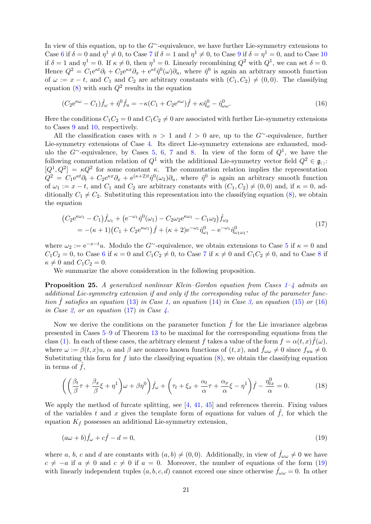In view of this equation, up to the  $G^{\sim}$ -equivalence, we have further Lie-symmetry extensions to Case [6](#page-9-5) if  $\delta = 0$  and  $\eta^1 \neq 0$ , to Case [7](#page-9-6) if  $\delta = 1$  and  $\eta^1 \neq 0$ , to Case [9](#page-9-8) if  $\delta = \eta^1 = 0$ , and to Case [10](#page-9-9) if  $\delta = 1$  and  $\eta^1 = 0$ . If  $\kappa \neq 0$ , then  $\eta^1 = 0$ . Linearly recombining  $Q^2$  with  $Q^1$ , we can set  $\delta = 0$ . Hence  $Q^2 = C_1 e^{\kappa t} \partial_t + C_2 e^{\kappa x} \partial_x + e^{\kappa t} \hat{\eta}^0(\omega) \partial_u$ , where  $\hat{\eta}^0$  is again an arbitrary smooth function of  $\omega := x - t$ , and  $C_1$  and  $C_2$  are arbitrary constants with  $(C_1, C_2) \neq (0, 0)$ . The classifying equation [\(8\)](#page-6-1) with such  $Q^2$  results in the equation

<span id="page-20-1"></span>
$$
(C_2 e^{\kappa \omega} - C_1) \hat{f}_{\omega} + \hat{\eta}^0 \hat{f}_u = -\kappa (C_1 + C_2 e^{\kappa \omega}) \hat{f} + \kappa \hat{\eta}^0_{\omega} - \hat{\eta}^0_{\omega \omega}.
$$
\n(16)

Here the conditions  $C_1C_2 = 0$  and  $C_1C_2 \neq 0$  are associated with further Lie-symmetry extensions to Cases [9](#page-9-8) and [10,](#page-9-9) respectively.

All the classification cases with  $n > 1$  and  $l > 0$  are, up to the G<sup>∼</sup>-equivalence, further Lie-symmetry extensions of Case [4.](#page-9-15) Its direct Lie-symmetry extensions are exhausted, mod-ulo the G∼-equivalence, by Cases [5,](#page-9-16) [6,](#page-9-5) [7](#page-9-6) and [8.](#page-9-7) In view of the form of  $Q^1$ , we have the following commutation relation of  $Q^1$  with the additional Lie-symmetry vector field  $Q^2 \in \mathfrak{g}_{\langle}$ :  $[Q^1, Q^2] = \kappa Q^2$  for some constant  $\kappa$ . The commutation relation implies the representation  $Q^2 = C_1 e^{\kappa t} \partial_t + C_2 e^{\kappa x} \partial_x + e^{(\kappa+2)t} \hat{\eta}^0(\omega_1) \partial_u$ , where  $\hat{\eta}^0$  is again an arbitrary smooth function of  $\omega_1 := x - t$ , and  $C_1$  and  $C_2$  are arbitrary constants with  $(C_1, C_2) \neq (0, 0)$  and, if  $\kappa = 0$ , additionally  $C_1 \neq C_2$ . Substituting this representation into the classifying equation [\(8\)](#page-6-1), we obtain the equation

<span id="page-20-2"></span>
$$
\begin{split} \left(C_{2}e^{\kappa\omega_{1}}-C_{1}\right)\hat{f}_{\omega_{1}}+\left(e^{-\omega_{1}}\hat{\eta}^{0}(\omega_{1})-C_{2}\omega_{2}e^{\kappa\omega_{1}}-C_{1}\omega_{2}\right)\hat{f}_{\omega_{2}}\\ &=-(\kappa+1)\left(C_{1}+C_{2}e^{\kappa\omega_{1}}\right)\hat{f}+(\kappa+2)e^{-\omega_{1}}\hat{\eta}^{0}_{\omega_{1}}-e^{-\omega_{1}}\hat{\eta}^{0}_{\omega_{1}\omega_{1}},\end{split} \tag{17}
$$

where  $\omega_2 := e^{-x-t}u$ . Modulo the G∼-equivalence, we obtain extensions to Case [5](#page-9-16) if  $\kappa = 0$  and  $C_1C_2 = 0$ , to Case [6](#page-9-5) if  $\kappa = 0$  and  $C_1C_2 \neq 0$ , to Case [7](#page-9-6) if  $\kappa \neq 0$  and  $C_1C_2 \neq 0$ , and to Case [8](#page-9-7) if  $\kappa \neq 0$  and  $C_1C_2 = 0$ .

We summarize the above consideration in the following proposition.

<span id="page-20-0"></span>**Proposition 25.** A generalized nonlinear Klein–Gordon equation from Cases  $1-\frac{1}{4}$  $1-\frac{1}{4}$  $1-\frac{1}{4}$  admits an additional Lie-symmetry extension if and only if the corresponding value of the parameter function  $\hat{f}$  satisfies an equation [\(13\)](#page-19-0) in Case [1,](#page-9-12) an equation [\(14\)](#page-19-1) in Case [3,](#page-9-13) an equation [\(15\)](#page-19-2) or [\(16\)](#page-20-1) in Case [2,](#page-9-14) or an equation [\(17\)](#page-20-2) in Case  $\lambda$ .

Now we derive the conditions on the parameter function  $\hat{f}$  for the Lie invariance algebras presented in Cases [5–](#page-9-16)[9](#page-9-8) of Theorem [13](#page-9-1) to be maximal for the corresponding equations from the class [\(1\)](#page-0-0). In each of these cases, the arbitrary element f takes a value of the form  $f = \alpha(t, x) \hat{f}(\omega)$ , where  $\omega := \beta(t, x)u$ ,  $\alpha$  and  $\beta$  are nonzero known functions of  $(t, x)$ , and  $\hat{f}_{\omega \omega} \neq 0$  since  $f_{uu} \neq 0$ . Substituting this form for f into the classifying equation  $(8)$ , we obtain the classifying equation in terms of  $\ddot{f}$ ,

<span id="page-20-4"></span>
$$
\left( \left( \frac{\beta_t}{\beta} \tau + \frac{\beta_x}{\beta} \xi + \eta^1 \right) \omega + \beta \eta^0 \right) \hat{f}_\omega + \left( \tau_t + \xi_x + \frac{\alpha_t}{\alpha} \tau + \frac{\alpha_x}{\alpha} \xi - \eta^1 \right) \hat{f} - \frac{\eta_{tx}^0}{\alpha} = 0. \tag{18}
$$

We apply the method of furcate splitting, see  $[4, 41, 45]$  $[4, 41, 45]$  $[4, 41, 45]$  $[4, 41, 45]$  and references therein. Fixing values of the variables t and x gives the template form of equations for values of  $f$ , for which the equation  $K_f$  possesses an additional Lie-symmetry extension,

<span id="page-20-3"></span>
$$
(a\omega + b)\hat{f}_{\omega} + c\hat{f} - d = 0,\tag{19}
$$

where a, b, c and d are constants with  $(a, b) \neq (0, 0)$ . Additionally, in view of  $\hat{f}_{\omega \omega} \neq 0$  we have  $c \neq -a$  if  $a \neq 0$  and  $c \neq 0$  if  $a = 0$ . Moreover, the number of equations of the form [\(19\)](#page-20-3) with linearly independent tuples  $(a, b, c, d)$  cannot exceed one since otherwise  $f_{\omega \omega} = 0$ . In other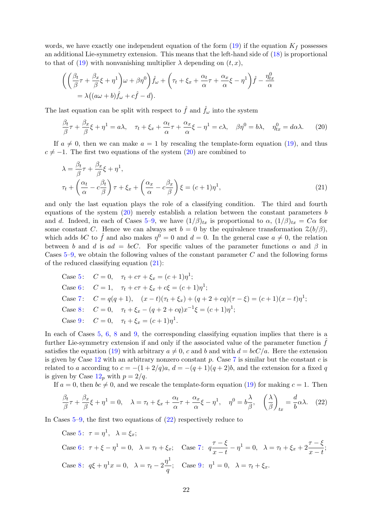words, we have exactly one independent equation of the form  $(19)$  if the equation  $K_f$  possesses an additional Lie-symmetry extension. This means that the left-hand side of [\(18\)](#page-20-4) is proportional to that of [\(19\)](#page-20-3) with nonvanishing multiplier  $\lambda$  depending on  $(t, x)$ ,

$$
\begin{aligned}\n&\bigg(\bigg(\frac{\beta_t}{\beta}\tau + \frac{\beta_x}{\beta}\xi + \eta^1\bigg)\omega + \beta\eta^0\bigg)\hat{f}_\omega + \bigg(\tau_t + \xi_x + \frac{\alpha_t}{\alpha}\tau + \frac{\alpha_x}{\alpha}\xi - \eta^1\bigg)\hat{f} - \frac{\eta_{tx}^0}{\alpha} \\
&= \lambda\big((a\omega + b)\hat{f}_\omega + c\hat{f} - d\big).\n\end{aligned}
$$

The last equation can be split with respect to  $\hat{f}$  and  $\hat{f}_\omega$  into the system

<span id="page-21-0"></span>
$$
\frac{\beta_t}{\beta}\tau + \frac{\beta_x}{\beta}\xi + \eta^1 = a\lambda, \quad \tau_t + \xi_x + \frac{\alpha_t}{\alpha}\tau + \frac{\alpha_x}{\alpha}\xi - \eta^1 = c\lambda, \quad \beta\eta^0 = b\lambda, \quad \eta_{tx}^0 = d\alpha\lambda. \tag{20}
$$

If  $a \neq 0$ , then we can make  $a = 1$  by rescaling the template-form equation [\(19\)](#page-20-3), and thus  $c \neq -1$ . The first two equations of the system [\(20\)](#page-21-0) are combined to

<span id="page-21-1"></span>
$$
\lambda = \frac{\beta_t}{\beta} \tau + \frac{\beta_x}{\beta} \xi + \eta^1,
$$
  
\n
$$
\tau_t + \left(\frac{\alpha_t}{\alpha} - c\frac{\beta_t}{\beta}\right) \tau + \xi_x + \left(\frac{\alpha_x}{\alpha} - c\frac{\beta_x}{\beta}\right) \xi = (c+1)\eta^1,
$$
\n(21)

and only the last equation plays the role of a classifying condition. The third and fourth equations of the system  $(20)$  merely establish a relation between the constant parameters b and d. Indeed, in each of Cases [5](#page-9-16)[–9,](#page-9-8) we have  $(1/\beta)_{tx}$  is proportional to  $\alpha$ ,  $(1/\beta)_{tx} = C\alpha$  for some constant C. Hence we can always set  $b = 0$  by the equivalence transformation  $\mathcal{Z}(b/\beta)$ , which adds bC to  $\hat{f}$  and also makes  $\eta^0 = 0$  and  $d = 0$ . In the general case  $a \neq 0$ , the relation between b and d is  $ad = bcC$ . For specific values of the parameter functions  $\alpha$  and  $\beta$  in Cases  $5-9$  $5-9$ , we obtain the following values of the constant parameter C and the following forms of the reduced classifying equation [\(21\)](#page-21-1):

Case 5: 
$$
C = 0
$$
,  $\tau_t + c\tau + \xi_x = (c+1)\eta^1$ ;  
\nCase 6:  $C = 1$ ,  $\tau_t + c\tau + \xi_x + c\xi = (c+1)\eta^1$ ;  
\nCase 7:  $C = q(q+1)$ ,  $(x-t)(\tau_t + \xi_x) + (q+2+cq)(\tau - \xi) = (c+1)(x-t)\eta^1$ ;  
\nCase 8:  $C = 0$ ,  $\tau_t + \xi_x - (q+2+cq)x^{-1}\xi = (c+1)\eta^1$ ;  
\nCase 9:  $C = 0$ ,  $\tau_t + \xi_x = (c+1)\eta^1$ .

In each of Cases [5,](#page-9-16) [6,](#page-9-5) [8](#page-9-7) and [9,](#page-9-8) the corresponding classifying equation implies that there is a further Lie-symmetry extension if and only if the associated value of the parameter function  $f$ satisfies the equation [\(19\)](#page-20-3) with arbitrary  $a \neq 0$ , c and b and with  $d = bcC/a$ . Here the extension is given by Case [12](#page-9-11) with an arbitrary nonzero constant  $p$ . Case [7](#page-9-6) is similar but the constant  $c$  is related to a according to  $c = -(1 + 2/q)a$ ,  $d = -(q + 1)(q + 2)b$ , and the extension for a fixed q is given by Case  $12<sub>p</sub>$  $12<sub>p</sub>$  with  $p = 2/q$ .

If  $a = 0$ , then  $bc \neq 0$ , and we rescale the template-form equation [\(19\)](#page-20-3) for making  $c = 1$ . Then

<span id="page-21-2"></span>
$$
\frac{\beta_t}{\beta}\tau + \frac{\beta_x}{\beta}\xi + \eta^1 = 0, \quad \lambda = \tau_t + \xi_x + \frac{\alpha_t}{\alpha}\tau + \frac{\alpha_x}{\alpha}\xi - \eta^1, \quad \eta^0 = b\frac{\lambda}{\beta}, \quad \left(\frac{\lambda}{\beta}\right)_{tx} = \frac{d}{b}\alpha\lambda. \tag{22}
$$

In Cases [5–](#page-9-16)[9,](#page-9-8) the first two equations of [\(22\)](#page-21-2) respectively reduce to

Case [5](#page-9-16):  $\tau = \eta^1$ ,  $\lambda = \xi_x$ ; Case [6](#page-9-5):  $\tau + \xi - \eta^1 = 0$ ,  $\lambda = \tau_t + \xi_x$ ; Case [7](#page-9-6):  $q \frac{\tau - \xi}{\tau - t}$  $\frac{\tau - \xi}{x - t} - \eta^1 = 0, \ \ \lambda = \tau_t + \xi_x + 2\frac{\tau - \xi}{x - t}$  $\frac{1}{x-t};$ Case [8](#page-9-7):  $q\xi + \eta^1 x = 0$ ,  $\lambda = \tau_t - 2 \frac{\eta^1}{g}$  $\frac{1}{q}$ ; Case [9](#page-9-8):  $\eta^1 = 0$ ,  $\lambda = \tau_t + \xi_x$ .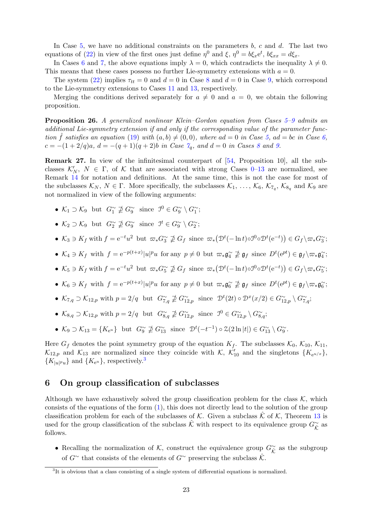In Case  $5$ , we have no additional constraints on the parameters  $b$ ,  $c$  and  $d$ . The last two equations of [\(22\)](#page-21-2) in view of the first ones just define  $\eta^0$  and  $\xi$ ,  $\eta^0 = b\xi_x e^t$ ,  $b\xi_{xx} = d\xi_x$ .

In Cases [6](#page-9-5) and [7,](#page-9-6) the above equations imply  $\lambda = 0$ , which contradicts the inequality  $\lambda \neq 0$ . This means that these cases possess no further Lie-symmetry extensions with  $a = 0$ .

The system [\(22\)](#page-21-2) implies  $\tau_{tt} = 0$  and  $d = 0$  in Case [8](#page-9-7) and  $d = 0$  in Case [9,](#page-9-8) which correspond to the Lie-symmetry extensions to Cases [11](#page-9-10) and [13,](#page-9-3) respectively.

Merging the conditions derived separately for  $a \neq 0$  and  $a = 0$ , we obtain the following proposition.

<span id="page-22-1"></span>Proposition 26. A generalized nonlinear Klein–Gordon equation from Cases [5–](#page-9-16)[9](#page-9-8) admits an additional Lie-symmetry extension if and only if the corresponding value of the parameter function  $\hat{f}$  satisfies an equation [\(19\)](#page-20-3) with  $(a, b) \neq (0, 0)$ , where  $ad = 0$  in Case [5,](#page-9-16)  $ad = bc$  in Case [6,](#page-9-5)  $c = -(1+2/q)a$ ,  $d = -(q+1)(q+2)b$  in Case  $\gamma_q$ , and  $d = 0$  in Cases [8](#page-9-7) and [9.](#page-9-8)

<span id="page-22-3"></span>Remark 27. In view of the infinitesimal counterpart of [\[54,](#page-30-5) Proposition 10], all the subclasses  $\mathcal{K}'_N$ ,  $N \in \Gamma$ , of  $\mathcal K$  that are associated with strong Cases [0–](#page-9-4)[13](#page-9-3) are normalized, see Remark [14](#page-9-0) for notation and definitions. At the same time, this is not the case for most of the subclasses  $\mathcal{K}_N$ ,  $N \in \Gamma$ . More specifically, the subclasses  $\mathcal{K}_1, \ldots, \mathcal{K}_6, \mathcal{K}_{7_q}, \mathcal{K}_{8_q}$  and  $\mathcal{K}_9$  are not normalized in view of the following arguments:

- $\mathcal{K}_1 \supset \mathcal{K}_9$  but  $G_1^{\sim} \not\supseteq G_9^{\sim}$  since  $\mathcal{I}^0 \in G_9^{\sim} \setminus G_1^{\sim}$ ;
- $\mathcal{K}_2 \supset \mathcal{K}_9$  but  $G_2^{\sim} \not\supseteq G_9^{\sim}$  since  $\mathcal{I}^t \in G_9^{\sim} \setminus G_2^{\sim}$ ;
- $\mathcal{K}_3 \ni K_f$  with  $f = e^{-t}u^2$  but  $\varpi_* G_3^{\sim} \nleq G_f$  since  $\varpi_* (\mathcal{D}^t(-\ln t) \circ \mathcal{D}^0 \circ \mathcal{D}^t(e^{-t})) \in G_f \setminus \varpi_* G_3^{\sim}$ ;
- $\mathcal{K}_4 \ni K_f$  with  $f = e^{-p(t+x)} |u|^p u$  for any  $p \neq 0$  but  $\varpi_* \mathfrak{g}_4^{\sim} \not\supseteq \mathfrak{g}_f$  since  $D^t(e^{pt}) \in \mathfrak{g}_f \setminus \varpi_* \mathfrak{g}_4^{\sim}$ ;
- $\mathcal{K}_5 \ni K_f$  with  $f = e^{-t}u^2$  but  $\varpi_* G_5^{\sim} \not\supseteq G_f$  since  $\varpi_* (\mathcal{D}^t(-\ln t) \circ \mathcal{D}^0 \circ \mathcal{D}^t(e^{-t})) \in G_f \setminus \varpi_* G_5^{\sim}$ ;
- $\mathcal{K}_6 \ni K_f$  with  $f = e^{-p(t+x)} |u|^p u$  for any  $p \neq 0$  but  $\varpi_* \mathfrak{g}_6^{\sim} \not\supseteq \mathfrak{g}_f$  since  $D^t(e^{pt}) \in \mathfrak{g}_f \setminus \varpi_* \mathfrak{g}_6^{\sim}$ ;
- $\mathcal{K}_{7,q} \supset \mathcal{K}_{12,p}$  with  $p = 2/q$  but  $G_{7,q}^{\sim} \not\supseteq G_{12,p}^{\sim}$  since  $\mathcal{D}^{t}(2t) \circ \mathcal{D}^{x}(x/2) \in G_{12,p}^{\sim} \setminus G_{7,q}^{\sim}$ ;
- $\mathcal{K}_{8,q} \supset \mathcal{K}_{12,p}$  with  $p = 2/q$  but  $G_{8,q}^{\sim} \not\supseteq G_{12,p}^{\sim}$  since  $\mathcal{I}^0 \in G_{12,p}^{\sim} \setminus G_{8,q}^{\sim}$ ;
- $\mathcal{K}_9 \supset \mathcal{K}_{13} = \{K_{e^u}\}\$ but  $G_9^{\sim} \not\supseteq G_{13}^{\sim}$  since  $\mathcal{D}^t(-t^{-1}) \circ \mathcal{Z}(2\ln|t|) \in G_{13}^{\sim} \setminus G_9^{\sim}$ .

Here  $G_f$  denotes the point symmetry group of the equation  $K_f$ . The subclasses  $\mathcal{K}_0$ ,  $\mathcal{K}_{10}$ ,  $\mathcal{K}_{11}$ ,  $\mathcal{K}_{12,p}$  and  $\mathcal{K}_{13}$  are normalized since they coincide with  $\mathcal{K}, \ \mathcal{K}'_{10}$  and the singletons  $\{K_{e^{u/x}}\},\$  $\{K_{|u|^p u}\}\$ and  $\{K_{e^u}\}\$ , respectively.<sup>[3](#page-22-2)</sup>

## <span id="page-22-0"></span>6 On group classification of subclasses

Although we have exhaustively solved the group classification problem for the class  $K$ , which consists of the equations of the form [\(1\)](#page-0-0), this does not directly lead to the solution of the group classification problem for each of the subclasses of K. Given a subclass  $\hat{K}$  of K, Theorem [13](#page-9-1) is used for the group classification of the subclass  $\hat{\mathcal{K}}$  with respect to its equivalence group  $G_{\hat{\mathcal{K}}}^{\sim}$  as follows.

• Recalling the normalization of K, construct the equivalence group  $G^{\sim}_{\hat{\mathcal{K}}}$  as the subgroup of  $G^{\sim}$  that consists of the elements of  $G^{\sim}$  preserving the subclass  $\hat{\mathcal{K}}$ .

<span id="page-22-2"></span><sup>&</sup>lt;sup>3</sup>It is obvious that a class consisting of a single system of differential equations is normalized.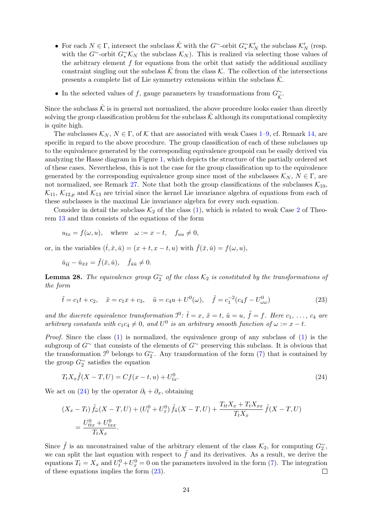- For each  $N \in \Gamma$ , intersect the subclass  $\hat{\mathcal{K}}$  with the  $G^{\sim}$ -orbit  $G^{\sim}_{*}\mathcal{K}'_{N}$  the subclass  $\mathcal{K}'_{N}$  (resp. with the G∼-orbit  $G_*^{\sim} \mathcal{K}_N$  the subclass  $\mathcal{K}_N$ ). This is realized via selecting those values of the arbitrary element  $f$  for equations from the orbit that satisfy the additional auxiliary constraint singling out the subclass  $\hat{\mathcal{K}}$  from the class  $\hat{\mathcal{K}}$ . The collection of the intersections presents a complete list of Lie symmetry extensions within the subclass  $\hat{\mathcal{K}}$ .
- In the selected values of f, gauge parameters by transformations from  $G_{\hat{\mathcal{K}}}^{\sim}$ .

Since the subclass  $\hat{\mathcal{K}}$  is in general not normalized, the above procedure looks easier than directly solving the group classification problem for the subclass  $K$  although its computational complexity is quite high.

The subclasses  $\mathcal{K}_N$ ,  $N \in \Gamma$ , of K that are associated with weak Cases [1–](#page-9-12)[9,](#page-9-8) cf. Remark [14,](#page-9-0) are specific in regard to the above procedure. The group classification of each of these subclasses up to the equivalence generated by the corresponding equivalence groupoid can be easily derived via analyzing the Hasse diagram in Figure [1,](#page-11-0) which depicts the structure of the partially ordered set of these cases. Nevertheless, this is not the case for the group classification up to the equivalence generated by the corresponding equivalence group since most of the subclasses  $\mathcal{K}_N$ ,  $N \in \Gamma$ , are not normalized, see Remark [27.](#page-22-3) Note that both the group classifications of the subclasses  $\mathcal{K}_{10}$ ,  $\mathcal{K}_{11}$ ,  $\mathcal{K}_{12,p}$  and  $\mathcal{K}_{13}$  are trivial since the kernel Lie invariance algebra of equations from each of these subclasses is the maximal Lie invariance algebra for every such equation.

Consider in detail the subclass  $\mathcal{K}_2$  $\mathcal{K}_2$  of the class [\(1\)](#page-0-0), which is related to weak Case 2 of Theorem [13](#page-9-1) and thus consists of the equations of the form

$$
u_{tx} = f(\omega, u)
$$
, where  $\omega := x - t$ ,  $f_{uu} \neq 0$ ,

or, in the variables  $(\check{t}, \check{x}, \check{u}) = (x + t, x - t, u)$  with  $\check{f}(\check{x}, \check{u}) = f(\omega, u)$ ,

$$
\check{u}_{\check{t}\check{t}} - \check{u}_{\check{x}\check{x}} = \check{f}(\check{x}, \check{u}), \quad \check{f}_{\check{u}\check{u}} \neq 0.
$$

**Lemma 28.** The equivalence group  $G_2^{\sim}$  of the class  $\mathcal{K}_2$  is constituted by the transformations of the form

<span id="page-23-1"></span>
$$
\tilde{t} = c_1 t + c_2, \quad \tilde{x} = c_1 x + c_3, \quad \tilde{u} = c_4 u + U^0(\omega), \quad \tilde{f} = c_1^{-2} (c_4 f - U^0_{\omega \omega})
$$
\n(23)

and the discrete equivalence transformation  $\mathcal{I}^0$ :  $\tilde{t} = x$ ,  $\tilde{x} = t$ ,  $\tilde{u} = u$ ,  $\tilde{f} = f$ . Here  $c_1, \ldots, c_4$  are arbitrary constants with  $c_1c_4 \neq 0$ , and  $U^0$  is an arbitrary smooth function of  $\omega := x - t$ .

*Proof.* Since the class  $(1)$  is normalized, the equivalence group of any subclass of  $(1)$  is the subgroup of  $G^{\sim}$  that consists of the elements of  $G^{\sim}$  preserving this subclass. It is obvious that the transformation  $\mathcal{I}^0$  belongs to  $G_2^{\sim}$ . Any transformation of the form [\(7\)](#page-5-3) that is contained by the group  $G_2^{\sim}$  satisfies the equation

<span id="page-23-0"></span>
$$
T_t X_x \tilde{f}(X - T, U) = C f(x - t, u) + U_{tx}^0.
$$
\n(24)

We act on [\(24\)](#page-23-0) by the operator  $\partial_t + \partial_x$ , obtaining

$$
(X_x - T_t) \tilde{f}_{\tilde{\omega}}(X - T, U) + (U_t^0 + U_x^0) \tilde{f}_{\tilde{u}}(X - T, U) + \frac{T_{tt}X_x + T_tX_{xx}}{T_tX_x} \tilde{f}(X - T, U)
$$
  
=  $\frac{U_{tx}^0 + U_{txx}^0}{T_tX_x}.$ 

Since  $\tilde{f}$  is an unconstrained value of the arbitrary element of the class  $\mathcal{K}_2$ , for computing  $G_2^{\sim}$ , we can split the last equation with respect to  $\tilde{f}$  and its derivatives. As a result, we derive the equations  $T_t = X_x$  and  $U_t^0 + U_x^0 = 0$  on the parameters involved in the form [\(7\)](#page-5-3). The integration of these equations implies the form [\(23\)](#page-23-1).  $\Box$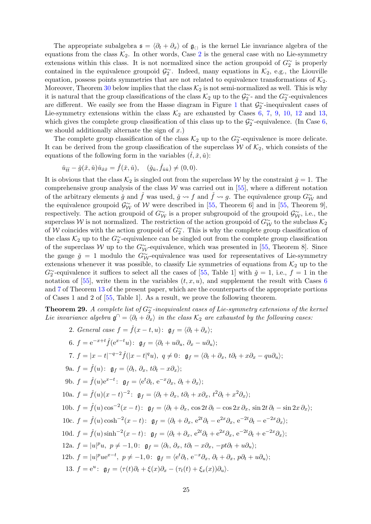The appropriate subalgebra  $\mathfrak{s} = \langle \partial_t + \partial_x \rangle$  of  $\mathfrak{g}_{\langle}$  is the kernel Lie invariance algebra of the equations from the class  $\mathcal{K}_2$  $\mathcal{K}_2$ . In other words, Case 2 is the general case with no Lie-symmetry extensions within this class. It is not normalized since the action groupoid of  $G_2^{\sim}$  is properly contained in the equivalence groupoid  $\mathcal{G}_2^{\sim}$ . Indeed, many equations in  $\mathcal{K}_2$ , e.g., the Liouville equation, possess points symmetries that are not related to equivalence transformations of  $K_2$ . Moreover, Theorem [30](#page-25-1) below implies that the class  $\mathcal{K}_2$  is not semi-normalized as well. This is why it is natural that the group classifications of the class  $\mathcal{K}_2$  up to the  $\mathcal{G}_2^{\sim}$ - and the  $G_2^{\sim}$ -equivalences are different. We easily see from the Hasse diagram in Figure [1](#page-11-0) that  $\mathcal{G}_2^{\sim}$ -inequivalent cases of Lie-symmetry extensions within the class  $\mathcal{K}_2$  are exhausted by Cases [6,](#page-9-5) [7,](#page-9-6) [9,](#page-9-8) [10,](#page-9-9) [12](#page-9-11) and [13,](#page-9-3) which gives the complete group classification of this class up to the  $\mathcal{G}_2^{\sim}$ -equivalence. (In Case [6,](#page-9-5) we should additionally alternate the sign of  $x$ .)

The complete group classification of the class  $\mathcal{K}_2$  up to the  $G_2^{\sim}$ -equivalence is more delicate. It can be derived from the group classification of the superclass  $W$  of  $\mathcal{K}_2$ , which consists of the equations of the following form in the variables  $(\check{t}, \check{x}, \check{u})$ :

$$
\check{u}_{\check{t}\check{t}} - \check{g}(\check{x}, \check{u})\check{u}_{\check{x}\check{x}} = \check{f}(\check{x}, \check{u}), \quad (\check{g}_{\check{u}}, \check{f}_{\check{u}\check{u}}) \neq (0, 0).
$$

It is obvious that the class  $\mathcal{K}_2$  is singled out from the superclass W by the constraint  $\check{g} = 1$ . The comprehensive group analysis of the class  $W$  was carried out in [\[55\]](#page-30-6), where a different notation of the arbitrary elements  $\check{g}$  and  $\check{f}$  was used,  $\check{g} \leadsto f$  and  $\check{f} \leadsto g$ . The equivalence group  $G_{\mathcal{W}}^{\sim}$  and the equivalence groupoid  $\mathcal{G}_{\mathcal{W}}^{\sim}$  of W were described in [\[55,](#page-30-6) Theorem 6] and in [55, Theorem 9], respectively. The action groupoid of  $G_{\mathcal{W}}^{\sim}$  is a proper subgroupoid of the groupoid  $\mathcal{G}_{\mathcal{W}}^{\sim}$ , i.e., the superclass W is not normalized. The restriction of the action groupoid of  $G_{\mathcal{W}}^{\sim}$  to the subclass  $\mathcal{K}_2$ of W coincides with the action groupoid of  $G_2^{\sim}$ . This is why the complete group classification of the class  $\mathcal{K}_2$  up to the  $G_2^{\sim}$ -equivalence can be singled out from the complete group classification of the superclass W up to the  $G_{\mathcal{W}}^{\sim}$ -equivalence, which was presented in [\[55,](#page-30-6) Theorem 8]. Since the gauge  $\check{g} = 1$  modulo the  $G_{\mathcal{W}}^{\sim}$ -equivalence was used for representatives of Lie-symmetry extensions whenever it was possible, to classify Lie symmetries of equations from  $\mathcal{K}_2$  up to the  $G_2^{\sim}$ -equivalence it suffices to select all the cases of [\[55,](#page-30-6) Table 1] with  $\check{g} = 1$ , i.e.,  $f = 1$  in the notation of [\[55\]](#page-30-6), write them in the variables  $(t, x, u)$ , and supplement the result with Cases [6](#page-9-5) and [7](#page-9-6) of Theorem [13](#page-9-1) of the present paper, which are the counterparts of the appropriate portions of Cases 1 and 2 of [\[55,](#page-30-6) Table 1]. As a result, we prove the following theorem.

<span id="page-24-0"></span>**Theorem 29.** A complete list of  $G_2^{\sim}$ -inequivalent cases of Lie-symmetry extensions of the kernel Lie invariance algebra  $\mathfrak{g}^{\cap} = \langle \partial_t + \partial_x \rangle$  in the class  $\mathcal{K}_2$  are exhausted by the following cases:

2. General case 
$$
f = \hat{f}(x - t, u)
$$
:  $\mathfrak{g}_f = \langle \partial_t + \partial_x \rangle$ ;  
\n6.  $f = e^{-x+t} \hat{f}(e^{x-t}u)$ :  $\mathfrak{g}_f = \langle \partial_t + u \partial_u, \partial_x - u \partial_u \rangle$ ;  
\n7.  $f = |x - t|^{-q-2} \hat{f}(|x - t|^q u), q \neq 0$ :  $\mathfrak{g}_f = \langle \partial_t + \partial_x, t \partial_t + x \partial_x - q u \partial_u \rangle$ ;  
\n9a.  $f = \hat{f}(u)$ :  $\mathfrak{g}_f = \langle \partial_t, \partial_x, t \partial_t - x \partial_x \rangle$ ;  
\n9b.  $f = \hat{f}(u)e^{x-t}$ :  $\mathfrak{g}_f = \langle e^t \partial_t, e^{-x} \partial_x, \partial_t + \partial_x \rangle$ ;  
\n10a.  $f = \hat{f}(u)(x - t)^{-2}$ :  $\mathfrak{g}_f = \langle \partial_t + \partial_x, t \partial_t + x \partial_x, t^2 \partial_t + x^2 \partial_x \rangle$ ;  
\n10b.  $f = \hat{f}(u) \cos^{-2}(x - t)$ :  $\mathfrak{g}_f = \langle \partial_t + \partial_x, \cos 2t \partial_t - \cos 2x \partial_x, \sin 2t \partial_t - \sin 2x \partial_x \rangle$ ;  
\n10c.  $f = \hat{f}(u) \cosh^{-2}(x - t)$ :  $\mathfrak{g}_f = \langle \partial_t + \partial_x, e^{2t} \partial_t - e^{2x} \partial_x, e^{-2t} \partial_t - e^{-2x} \partial_x \rangle$ ;  
\n10d.  $f = \hat{f}(u) \sinh^{-2}(x - t)$ :  $\mathfrak{g}_f = \langle \partial_t + \partial_x, e^{2t} \partial_t + e^{2x} \partial_x, e^{-2t} \partial_t + e^{-2x} \partial_x \rangle$ ;  
\n12a.  $f = |u|^p u, p \neq -1, 0$ :  $\mathfrak{g}_f = \langle \partial_t, \partial_x, t \partial_t - x \partial_x, -pt \partial_t + u \partial_u \rangle$ ;  
\n12b.  $f = |u|^p u e^{x-t}, p \ne$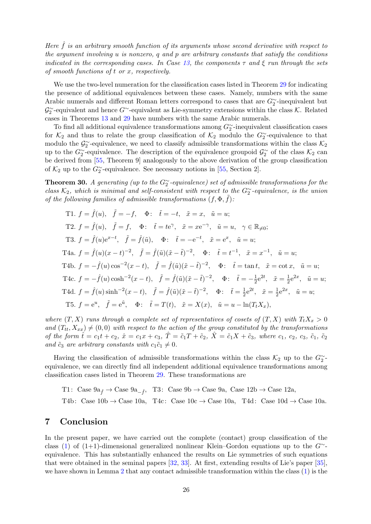Here  $\hat{f}$  is an arbitrary smooth function of its arguments whose second derivative with respect to the argument involving  $u$  is nonzero,  $q$  and  $p$  are arbitrary constants that satisfy the conditions indicated in the corresponding cases. In Case [13,](#page-9-3) the components  $\tau$  and  $\xi$  run through the sets of smooth functions of t or x, respectively.

We use the two-level numeration for the classification cases listed in Theorem [29](#page-24-0) for indicating the presence of additional equivalences between these cases. Namely, numbers with the same Arabic numerals and different Roman letters correspond to cases that are  $G_2^{\sim}$ -inequivalent but  $\mathcal{G}_2^{\sim}$ -equivalent and hence  $G^{\sim}$ -equivalent as Lie-symmetry extensions within the class K. Related cases in Theorems [13](#page-9-1) and [29](#page-24-0) have numbers with the same Arabic numerals.

To find all additional equivalence transformations among  $G_2^{\sim}$ -inequivalent classification cases for  $\mathcal{K}_2$  and thus to relate the group classification of  $\mathcal{K}_2$  modulo the  $G_2^{\sim}$ -equivalence to that modulo the  $\mathcal{G}_2^{\sim}$ -equivalence, we need to classify admissible transformations within the class  $\mathcal{K}_2$ up to the  $G_2^{\sim}$ -equivalence. The description of the equivalence groupoid  $\mathcal{G}_2^{\sim}$  of the class  $\mathcal{K}_2$  can be derived from [\[55,](#page-30-6) Theorem 9] analogously to the above derivation of the group classification of  $\mathcal{K}_2$  up to the  $G_2^{\sim}$ -equivalence. See necessary notions in [\[55,](#page-30-6) Section 2].

<span id="page-25-1"></span>**Theorem 30.** A generating (up to the  $G_2^{\sim}$ -equivalence) set of admissible transformations for the class  $\mathcal{K}_2$ , which is minimal and self-consistent with respect to the G<sup>∼</sup>-equivalence, is the union of the following families of admissible transformations  $(f, \Phi, \tilde{f})$ :

T1. 
$$
f = \hat{f}(u)
$$
,  $\tilde{f} = -f$ ,  $\Phi$ :  $\tilde{t} = -t$ ,  $\tilde{x} = x$ ,  $\tilde{u} = u$ ;  
\nT2.  $f = \hat{f}(u)$ ,  $\tilde{f} = f$ ,  $\Phi$ :  $\tilde{t} = te^{\gamma}$ ,  $\tilde{x} = xe^{-\gamma}$ ,  $\tilde{u} = u$ ,  $\gamma \in \mathbb{R}_{\neq 0}$ ;  
\nT3.  $f = \hat{f}(u)e^{x-t}$ ,  $\tilde{f} = \hat{f}(\tilde{u})$ ,  $\Phi$ :  $\tilde{t} = -e^{-t}$ ,  $\tilde{x} = e^x$ ,  $\tilde{u} = u$ ;  
\nT4a.  $f = \hat{f}(u)(x - t)^{-2}$ ,  $\tilde{f} = \hat{f}(\tilde{u})(\tilde{x} - \tilde{t})^{-2}$ ,  $\Phi$ :  $\tilde{t} = t^{-1}$ ,  $\tilde{x} = x^{-1}$ ,  $\tilde{u} = u$ ;  
\nT4b.  $f = -\hat{f}(u)\cos^{-2}(x - t)$ ,  $\tilde{f} = \hat{f}(\tilde{u})(\tilde{x} - \tilde{t})^{-2}$ ,  $\Phi$ :  $\tilde{t} = \tan t$ ,  $\tilde{x} = \cot x$ ,  $\tilde{u} = u$ ;  
\nT4c.  $f = -\hat{f}(u)\cosh^{-2}(x - t)$ ,  $\tilde{f} = \hat{f}(\tilde{u})(\tilde{x} - \tilde{t})^{-2}$ ,  $\Phi$ :  $\tilde{t} = -\frac{1}{2}e^{2t}$ ,  $\tilde{x} = \frac{1}{2}e^{2x}$ ,  $\tilde{u} = u$ ;  
\nT4d.  $f = \hat{f}(u)\sinh^{-2}(x - t)$ ,  $\tilde{f} = \hat{f}(\tilde{u})(\tilde{x} - \tilde{t})^{-2}$ ,  $\Phi$ :  $\tilde{t} = \frac{1}{2}e^{2t}$ ,  $\tilde{x} = \frac{1}{2}e^{2x}$ ,  $\tilde$ 

where  $(T, X)$  runs through a complete set of representatives of cosets of  $(T, X)$  with  $T_tX_x > 0$ and  $(T_{tt}, X_{xx}) \neq (0, 0)$  with respect to the action of the group constituted by the transformations of the form  $\hat{t} = c_1 t + c_2, \ \hat{x} = c_1 x + c_3, \ T = \tilde{c}_1 T + \tilde{c}_2, \ X = \tilde{c}_1 X + \tilde{c}_3$ , where  $c_1, c_2, c_3, \ \tilde{c}_1, \ \tilde{c}_2$ and  $\tilde{c}_3$  are arbitrary constants with  $c_1\tilde{c}_1 \neq 0$ .

Having the classification of admissible transformations within the class  $\mathcal{K}_2$  up to the  $G_2^{\sim}$ equivalence, we can directly find all independent additional equivalence transformations among classification cases listed in Theorem [29.](#page-24-0) These transformations are

T1: Case  $9a_{\hat{f}} \rightarrow$  Case  $9a_{-\hat{f}}$ , T3: Case  $9b \rightarrow$  Case  $9a$ , Case  $12b \rightarrow$  Case  $12a$ ,

T4b: Case  $10b \rightarrow$  Case  $10a$ , T4c: Case  $10c \rightarrow$  Case  $10a$ , T4d: Case  $10d \rightarrow$  Case  $10a$ .

## <span id="page-25-0"></span>7 Conclusion

In the present paper, we have carried out the complete (contact) group classification of the class [\(1\)](#page-0-0) of (1+1)-dimensional generalized nonlinear Klein–Gordon equations up to the  $G^{\sim}$ equivalence. This has substantially enhanced the results on Lie symmetries of such equations that were obtained in the seminal papers [\[32,](#page-29-11) [33\]](#page-29-12). At first, extending results of Lie's paper [\[35\]](#page-29-1), we have shown in Lemma [2](#page-3-3) that any contact admissible transformation within the class [\(1\)](#page-0-0) is the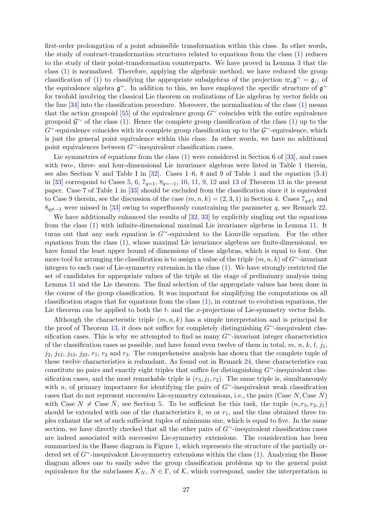first-order prolongation of a point admissible transformation within this class. In other words, the study of contract-transformation structures related to equations from the class [\(1\)](#page-0-0) reduces to the study of their point-transformation counterparts. We have proved in Lemma [3](#page-5-1) that the class [\(1\)](#page-0-0) is normalized. Therefore, applying the algebraic method, we have reduced the group classification of [\(1\)](#page-0-0) to classifying the appropriate subalgebras of the projection  $\varpi_*\mathfrak{g}^\sim = \mathfrak{g}_{()}$  of the equivalence algebra  $\mathfrak{g}^{\sim}$ . In addition to this, we have employed the specific structure of  $\mathfrak{g}^{\sim}$ for twofold involving the classical Lie theorem on realizations of Lie algebras by vector fields on the line [\[34\]](#page-29-2) into the classification procedure. Moreover, the normalization of the class [\(1\)](#page-0-0) means that the action groupoid [\[55\]](#page-30-6) of the equivalence group  $G^{\sim}$  coincides with the entire equivalence groupoid  $\mathcal{G}^{\sim}$  of the class [\(1\)](#page-0-0). Hence the complete group classification of the class (1) up to the  $G^{\sim}$ -equivalence coincides with its complete group classification up to the  $\mathcal{G}^{\sim}$ -equivalence, which is just the general point equivalence within this class. In other words, we have no additional point equivalences between G∼-inequivalent classification cases.

Lie symmetries of equations from the class [\(1\)](#page-0-0) were considered in Section 6 of [\[33\]](#page-29-12), and cases with two-, three- and four-dimensional Lie invariance algebras were listed in Table 1 therein. see also Section V and Table I in [\[32\]](#page-29-11). Cases 1–6, 8 and 9 of Table 1 and the equation (5.4) in [\[33\]](#page-29-12) correspond to Cases [5,](#page-9-16) [6,](#page-9-5)  $7_{q=1}$  $7_{q=1}$ ,  $8_{q=-1}$  $8_{q=-1}$ , [10,](#page-9-9) [11,](#page-9-10) [9,](#page-9-8) [12](#page-9-11) and [13](#page-9-1) of Theorem 13 in the present paper. Case 7 of Table 1 in [\[33\]](#page-29-12) should be excluded from the classification since it is equivalent to Case 9 therein, see the discussion of the case  $(m, n, k) = (2, 3, 1)$  in Section [4.](#page-12-0) Cases  $7_{q\neq1}$  $7_{q\neq1}$  and  $8<sub>q</sub>≠-1$  $8<sub>q</sub>≠-1$  were missed in [\[33\]](#page-29-12) owing to superfluously constraining the parameter q, see Remark [22.](#page-16-0)

We have additionally enhanced the results of  $[32, 33]$  $[32, 33]$  by explicitly singling out the equations from the class [\(1\)](#page-0-0) with infinite-dimensional maximal Lie invariance algebras in Lemma [11.](#page-7-1) It turns out that any such equation is G∼-equivalent to the Liouville equation. For the other equations from the class [\(1\)](#page-0-0), whose maximal Lie invariance algebras are finite-dimensional, we have found the least upper bound of dimensions of these algebras, which is equal to four. One more tool for arranging the classification is to assign a value of the triple  $(m, n, k)$  of  $G^{\sim}$ -invariant integers to each case of Lie-symmetry extension in the class [\(1\)](#page-0-0). We have strongly restricted the set of candidates for appropriate values of the triple at the stage of preliminary analysis using Lemma [11](#page-7-1) and the Lie theorem. The final selection of the appropriate values has been done in the course of the group classification. It was important for simplifying the computations on all classification stages that for equations from the class  $(1)$ , in contrast to evolution equations, the Lie theorem can be applied to both the  $t-$  and the x-projections of Lie-symmetry vector fields.

Although the characteristic triple  $(m, n, k)$  has a simple interpretation and is principal for the proof of Theorem [13,](#page-9-1) it does not suffice for completely distinguishing G∼-inequivalent classification cases. This is why we attempted to find as many  $G^{\sim}$ -invariant integer characteristics of the classification cases as possible, and have found even twelve of them in total, m, n, k, l, j<sub>1</sub>,  $j_2$ ,  $j_{12}$ ,  $j_{13}$ ,  $j_{23}$ ,  $r_1$ ,  $r_2$  and  $r_3$ . The comprehensive analysis has shown that the complete tuple of these twelve characteristics is redundant. As found out in Remark [24,](#page-17-0) these characteristics can constitute no pairs and exactly eight triples that suffice for distinguishing G∼-inequivalent classification cases, and the most remarkable triple is  $(r_3, j_1, r_2)$ . The same triple is, simultaneously with n, of primary importance for identifying the pairs of G∼-inequivalent weak classification cases that do not represent successive Lie-symmetry extensions, i.e., the pairs (Case  $N$ , Case  $N$ ) with Case  $N \nless$  Case N, see Section [5.](#page-18-0) To be sufficient for this task, the tuple  $(n, r_3, r_2, j_1)$ should be extended with one of the characteristics k, m or  $r_1$ , and the thus obtained three tuples exhaust the set of such sufficient tuples of minimum size, which is equal to five. In the same section, we have directly checked that all the other pairs of  $G^{\sim}$ -inequivalent classification cases are indeed associated with successive Lie-symmetry extensions. The consideration has been summarized in the Hasse diagram in Figure [1,](#page-11-0) which represents the structure of the partially ordered set of G∼-inequivalent Lie-symmetry extensions within the class [\(1\)](#page-0-0). Analyzing the Hasse diagram allows one to easily solve the group classification problems up to the general point equivalence for the subclasses  $\mathcal{K}_N$ ,  $N \in \Gamma$ , of  $\mathcal{K}$ , which correspond, under the interpretation in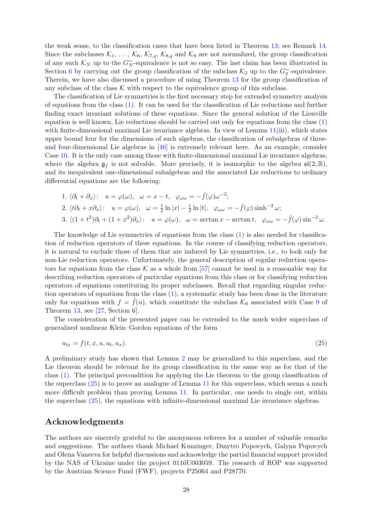the weak sense, to the classification cases that have been listed in Theorem [13;](#page-9-1) see Remark [14.](#page-9-0) Since the subclasses  $\mathcal{K}_1, \ldots, \mathcal{K}_6, \mathcal{K}_{7,q}, \mathcal{K}_{8,q}$  and  $\mathcal{K}_9$  are not normalized, the group classification of any such  $\mathcal{K}_N$  up to the  $G_N^{\sim}$ -equivalence is not so easy. The last claim has been illustrated in Section [6](#page-22-0) by carrying out the group classification of the subclass  $\mathcal{K}_2$  up to the  $G_2^{\sim}$ -equivalence. Therein, we have also discussed a procedure of using Theorem [13](#page-9-1) for the group classification of any subclass of the class  $K$  with respect to the equivalence group of this subclass.

The classification of Lie symmetries is the first necessary step for extended symmetry analysis of equations from the class [\(1\)](#page-0-0). It can be used for the classification of Lie reductions and further finding exact invariant solutions of these equations. Since the general solution of the Liouville equation is well known, Lie reductions should be carried out only for equations from the class [\(1\)](#page-0-0) with finite-dimensional maximal Lie invariance algebras. In view of Lemma [11\(](#page-7-1)iii), which states upper bound four for the dimensions of such algebras, the classification of subalgebras of threeand four-dimensional Lie algebras in [\[46\]](#page-29-25) is extremely relevant here. As an example, consider Case [10.](#page-9-9) It is the only case among those with finite-dimensional maximal Lie invariance algebras, where the algebra  $\mathfrak{g}_f$  is not solvable. More precisely, it is isomorphic to the algebra  $\mathfrak{sl}(2,\mathbb{R})$ , and its inequivalent one-dimensional subalgebras and the associated Lie reductions to ordinary differential equations are the following:

1. 
$$
\langle \partial_t + \partial_x \rangle
$$
:  $u = \varphi(\omega)$ ,  $\omega = x - t$ ,  $\varphi_{\omega\omega} = -\hat{f}(\varphi)\omega^{-2}$ ;  
\n2.  $\langle t\partial_t + x\partial_x \rangle$ :  $u = \varphi(\omega)$ ,  $\omega = \frac{1}{2}\ln|x| - \frac{1}{2}\ln|t|$ ,  $\varphi_{\omega\omega} = -\hat{f}(\varphi)\sinh^{-2}\omega$ ;  
\n3.  $\langle (1+t^2)\partial_t + (1+x^2)\partial_x \rangle$ :  $u = \varphi(\omega)$ ,  $\omega = \arctan x - \arctan t$ ,  $\varphi_{\omega\omega} = -\hat{f}(\varphi)\sin^{-2}\omega$ .

The knowledge of Lie symmetries of equations from the class [\(1\)](#page-0-0) is also needed for classification of reduction operators of these equations. In the course of classifying reduction operators, it is natural to exclude those of them that are induced by Lie symmetries, i.e., to look only for non-Lie reduction operators. Unfortunately, the general description of regular reduction operators for equations from the class  $K$  as a whole from [\[57\]](#page-30-2) cannot be used in a reasonable way for describing reduction operators of particular equations from this class or for classifying reduction operators of equations constituting its proper subclasses. Recall that regarding singular reduction operators of equations from the class [\(1\)](#page-0-0), a systematic study has been done in the literature only for equations with  $f = \hat{f}(u)$ , which constitute the subclass  $\mathcal{K}_9$  $\mathcal{K}_9$  associated with Case 9 of Theorem [13,](#page-9-1) see [\[27,](#page-29-9) Section 6].

The consideration of the presented paper can be extended to the much wider superclass of generalized nonlinear Klein–Gordon equations of the form

<span id="page-27-0"></span>
$$
u_{tx} = f(t, x, u, u_t, u_x). \tag{25}
$$

A preliminary study has shown that Lemma [2](#page-3-3) may be generalized to this superclass, and the Lie theorem should be relevant for its group classification in the same way as for that of the class [\(1\)](#page-0-0). The principal precondition for applying the Lie theorem to the group classification of the superclass [\(25\)](#page-27-0) is to prove an analogue of Lemma [11](#page-7-1) for this superclass, which seems a much more difficult problem than proving Lemma [11.](#page-7-1) In particular, one needs to single out, within the superclass [\(25\)](#page-27-0), the equations with infinite-dimensional maximal Lie invariance algebras.

#### Acknowledgments

The authors are sincerely grateful to the anonymous referees for a number of valuable remarks and suggestions. The authors thank Michael Kunzinger, Dmytro Popovych, Galyna Popovych and Olena Vaneeva for helpful discussions and acknowledge the partial financial support provided by the NAS of Ukraine under the project 0116U003059. The research of ROP was supported by the Austrian Science Fund (FWF), projects P25064 and P28770.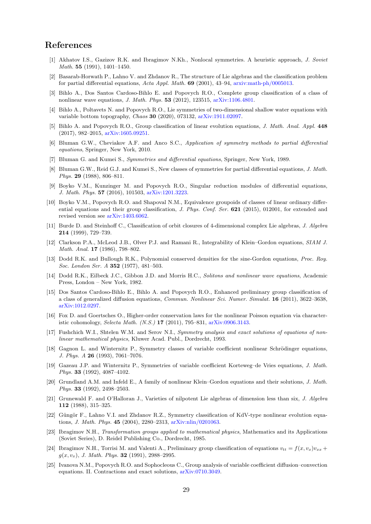# References

- <span id="page-28-14"></span>[1] Akhatov I.S., Gazizov R.K. and Ibragimov N.Kh., Nonlocal symmetries. A heuristic approach, J. Soviet Math. 55 (1991), 1401–1450.
- <span id="page-28-10"></span>[2] Basarab-Horwath P., Lahno V. and Zhdanov R., The structure of Lie algebras and the classification problem for partial differential equations, Acta Appl. Math. 69 (2001), 43–94, [arxiv:math-ph/0005013.](http://arxiv.org/abs/math-ph/0005013)
- <span id="page-28-15"></span>[3] Bihlo A., Dos Santos Cardoso-Bihlo E. and Popovych R.O., Complete group classification of a class of nonlinear wave equations, J. Math. Phys. 53 (2012), 123515, [arXiv:1106.4801.](http://arxiv.org/abs/1106.4801)
- <span id="page-28-18"></span>[4] Bihlo A., Poltavets N. and Popovych R.O., Lie symmetries of two-dimensional shallow water equations with variable bottom topography, Chaos 30 (2020), 073132, [arXiv:1911.02097.](http://arxiv.org/abs/1911.02097)
- <span id="page-28-3"></span>[5] Bihlo A. and Popovych R.O., Group classification of linear evolution equations, J. Math. Anal. Appl. 448 (2017), 982–2015, [arXiv:1605.09251.](http://arxiv.org/abs/1605.09251)
- <span id="page-28-19"></span>[6] Bluman G.W., Cheviakov A.F. and Anco S.C., Application of symmetry methods to partial differential equations, Springer, New York, 2010.
- <span id="page-28-20"></span>[7] Bluman G. and Kumei S., Symmetries and differential equations, Springer, New York, 1989.
- <span id="page-28-21"></span>[8] Bluman G.W., Reid G.J. and Kumei S., New classes of symmetries for partial differential equations, J. Math. Phys. 29 (1988), 806–811.
- <span id="page-28-9"></span>[9] Boyko V.M., Kunzinger M. and Popovych R.O., Singular reduction modules of differential equations, J. Math. Phys. 57 (2016), 101503, [arXiv:1201.3223.](http://arxiv.org/abs/1201.3223)
- <span id="page-28-4"></span>[10] Boyko V.M., Popovych R.O. and Shapoval N.M., Equivalence groupoids of classes of linear ordinary differential equations and their group classification, J. Phys. Conf. Ser. 621 (2015), 012001, for extended and revised version see [arXiv:1403.6062.](http://arxiv.org/abs/1403.6062)
- <span id="page-28-23"></span>[11] Burde D. and Steinhoff C., Classification of orbit closures of 4-dimensional complex Lie algebras, J. Algebra 214 (1999), 729–739.
- <span id="page-28-7"></span>[12] Clarkson P.A., McLeod J.B., Olver P.J. and Ramani R., Integrability of Klein–Gordon equations, SIAM J. Math. Anal. 17 (1986), 798–802.
- <span id="page-28-6"></span>[13] Dodd R.K. and Bullough R.K., Polynomial conserved densities for the sine-Gordon equations, Proc. Roy. Soc. London Ser. A 352 (1977), 481–503.
- <span id="page-28-0"></span>[14] Dodd R.K., Eilbeck J.C., Gibbon J.D. and Morris H.C., Solitons and nonlinear wave equations, Academic Press, London – New York, 1982.
- <span id="page-28-16"></span>[15] Dos Santos Cardoso-Bihlo E., Bihlo A. and Popovych R.O., Enhanced preliminary group classification of a class of generalized diffusion equations, Commun. Nonlinear Sci. Numer. Simulat. 16 (2011), 3622–3638, [arXiv:1012.0297.](http://arxiv.org/abs/1012.0297)
- <span id="page-28-1"></span>[16] Fox D. and Goertsches O., Higher-order conservation laws for the nonlinear Poisson equation via characteristic cohomology, Selecta Math. (N.S.) 17 (2011), 795–831, [arXiv:0906.3143.](http://arxiv.org/abs/0906.3143)
- <span id="page-28-2"></span>[17] Fushchich W.I., Shtelen W.M. and Serov N.I., Symmetry analysis and exact solutions of equations of nonlinear mathematical physics, Kluwer Acad. Publ., Dordrecht, 1993.
- <span id="page-28-11"></span>[18] Gagnon L. and Winternitz P., Symmetry classes of variable coefficient nonlinear Schrödinger equations, J. Phys. A 26 (1993), 7061–7076.
- <span id="page-28-12"></span>[19] Gazeau J.P. and Winternitz P., Symmetries of variable coefficient Korteweg–de Vries equations, J. Math. Phys. 33 (1992), 4087–4102.
- <span id="page-28-8"></span>[20] Grundland A.M. and Infeld E., A family of nonlinear Klein–Gordon equations and their solutions, J. Math. Phys. 33 (1992), 2498–2503.
- <span id="page-28-24"></span>[21] Grunewald F. and O'Halloran J., Varieties of nilpotent Lie algebras of dimension less than six, J. Algebra 112 (1988), 315–325.
- <span id="page-28-13"></span>[22] Güngör F., Lahno V.I. and Zhdanov R.Z., Symmetry classification of KdV-type nonlinear evolution equations, J. Math. Phys. 45 (2004), 2280–2313, [arXiv:nlin/0201063.](http://arxiv.org/abs/nlin/0201063)
- <span id="page-28-5"></span>[23] Ibragimov N.H., Transformation groups applied to mathematical physics, Mathematics and its Applications (Soviet Series), D. Reidel Publishing Co., Dordrecht, 1985.
- <span id="page-28-17"></span>[24] Ibragimov N.H., Torrisi M. and Valenti A., Preliminary group classification of equations  $v_{tt} = f(x, v_x)v_{xx} +$  $q(x, v_x)$ , J. Math. Phys. **32** (1991), 2988–2995.
- <span id="page-28-22"></span>[25] Ivanova N.M., Popovych R.O. and Sophocleous C., Group analysis of variable coefficient diffusion–convection equations. II. Contractions and exact solutions, [arXiv:0710.3049.](http://arxiv.org/abs/0710.3049)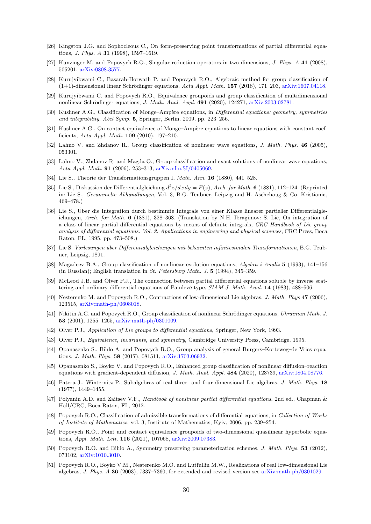- <span id="page-29-19"></span>[26] Kingston J.G. and Sophocleous C., On form-preserving point transformations of partial differential equations, J. Phys. A 31 (1998), 1597–1619.
- <span id="page-29-9"></span>[27] Kunzinger M. and Popovych R.O., Singular reduction operators in two dimensions, J. Phys. A 41 (2008), 505201, [arXiv:0808.3577.](http://arxiv.org/abs/0808.3577)
- <span id="page-29-5"></span>[28] Kurujyibwami C., Basarab-Horwath P. and Popovych R.O., Algebraic method for group classification of  $(1+1)$ -dimensional linear Schrödinger equations, Acta Appl. Math. 157 (2018), 171–203, [arXiv:1607.04118.](http://arxiv.org/abs/1607.04118)
- <span id="page-29-6"></span>[29] Kurujyibwami C. and Popovych R.O., Equivalence groupoids and group classification of multidimensional nonlinear Schrödinger equations, J. Math. Anal. Appl. 491 (2020), 124271, [arXiv:2003.02781.](http://arxiv.org/abs/2003.02781)
- <span id="page-29-22"></span>[30] Kushner A.G., Classification of Monge–Ampère equations, in Differential equations: geometry, symmetries and integrability, Abel Symp. 5, Springer, Berlin, 2009, pp. 223–256.
- <span id="page-29-21"></span>[31] Kushner A.G., On contact equivalence of Monge–Ampère equations to linear equations with constant coefficients, Acta Appl. Math. 109 (2010), 197–210.
- <span id="page-29-11"></span>[32] Lahno V. and Zhdanov R., Group classification of nonlinear wave equations, J. Math. Phys. 46 (2005), 053301.
- <span id="page-29-12"></span>[33] Lahno V., Zhdanov R. and Magda O., Group classification and exact solutions of nonlinear wave equations, Acta Appl. Math. 91 (2006), 253–313, [arXiv:nlin.SI/0405069.](http://arxiv.org/abs/nlin/0405069)
- <span id="page-29-2"></span>[34] Lie S., Theorie der Transformationsgruppen I, Math. Ann. 16 (1880), 441–528.
- <span id="page-29-1"></span>[35] Lie S., Diskussion der Differentialgleichung  $d^2z/dx dy = F(z)$ , Arch. for Math. 6 (1881), 112–124. (Reprinted in: Lie S., Gesammelte Abhandlungen, Vol. 3, B.G. Teubner, Leipzig and H. Aschehoug & Co, Kristiania, 469–478.)
- <span id="page-29-20"></span>[36] Lie S., Über die Integration durch bestimmte Integrale von einer Klasse linearer partieller Differentialgleichungen, Arch. for Math. 6 (1881), 328–368. (Translation by N.H. Ibragimov: S. Lie, On integration of a class of linear partial differential equations by means of definite integrals, CRC Handbook of Lie group analysis of differential equations. Vol. 2. Applications in engineering and physical sciences, CRC Press, Boca Raton, FL, 1995, pp. 473–508.)
- <span id="page-29-10"></span>[37] Lie S. Vorlesungen ¨uber Differentialgleichungen mit bekannten infinitesimalen Transformationen, B.G. Teubner, Leipzig, 1891.
- <span id="page-29-13"></span>[38] Magadeev B.A., Group classification of nonlinear evolution equations, Algebra i Analiz 5 (1993), 141–156 (in Russian); English translation in St. Petersburg Math. J. 5 (1994), 345–359.
- <span id="page-29-8"></span>[39] McLeod J.B. and Olver P.J., The connection between partial differential equations soluble by inverse scattering and ordinary differential equations of Painlevé type, SIAM J. Math. Anal. 14 (1983), 488–506.
- <span id="page-29-24"></span>[40] Nesterenko M. and Popovych R.O., Contractions of low-dimensional Lie algebras, J. Math. Phys 47 (2006), 123515, [arXiv:math-ph/0608018.](http://arxiv.org/abs/math-ph/0608018)
- <span id="page-29-14"></span>[41] Nikitin A.G. and Popovych R.O., Group classification of nonlinear Schrödinger equations, Ukrainian Math. J. 53 (2001), 1255–1265, [arXiv:math-ph/0301009.](http://arxiv.org/abs/math-ph/0301009)
- <span id="page-29-23"></span>[42] Olver P.J., Application of Lie groups to differential equations, Springer, New York, 1993.
- <span id="page-29-3"></span>[43] Olver P.J., Equivalence, invariants, and symmetry, Cambridge University Press, Cambridge, 1995.
- <span id="page-29-7"></span>[44] Opanasenko S., Bihlo A. and Popovych R.O., Group analysis of general Burgers–Korteweg–de Vries equations, J. Math. Phys. 58 (2017), 081511, [arXiv:1703.06932.](http://arxiv.org/abs/1703.06932)
- <span id="page-29-15"></span>[45] Opanasenko S., Boyko V. and Popovych R.O., Enhanced group classification of nonlinear diffusion–reaction equations with gradient-dependent diffusion, J. Math. Anal. Appl. 484 (2020), 123739, [arXiv:1804.08776.](http://arxiv.org/abs/1804.08776)
- <span id="page-29-25"></span>[46] Patera J., Winternitz P., Subalgebras of real three- and four-dimensional Lie algebras, J. Math. Phys. 18 (1977), 1449–1455.
- <span id="page-29-0"></span>[47] Polyanin A.D. and Zaitsev V.F., Handbook of nonlinear partial differential equations, 2nd ed., Chapman & Hall/CRC, Boca Raton, FL, 2012.
- <span id="page-29-16"></span>[48] Popovych R.O., Classification of admissible transformations of differential equations, in Collection of Works of Institute of Mathematics, vol. 3, Institute of Mathematics, Kyiv, 2006, pp. 239–254.
- <span id="page-29-18"></span>[49] Popovych R.O., Point and contact equivalence groupoids of two-dimensional quasilinear hyperbolic equations, Appl. Math. Lett. 116 (2021), 107068, [arXiv:2009.07383.](http://arxiv.org/abs/2009.07383)
- <span id="page-29-17"></span>[50] Popovych R.O. and Bihlo A., Symmetry preserving parameterization schemes, J. Math. Phys. 53 (2012), 073102, [arXiv:1010.3010.](http://arxiv.org/abs/1010.3010)
- <span id="page-29-4"></span>[51] Popovych R.O., Boyko V.M., Nesterenko M.O. and Lutfullin M.W., Realizations of real low-dimensional Lie algebras, J. Phys. A 36 (2003), 7337–7360, for extended and revised version see [arXiv:math-ph/0301029.](http://arxiv.org/abs/math-ph/0301029)